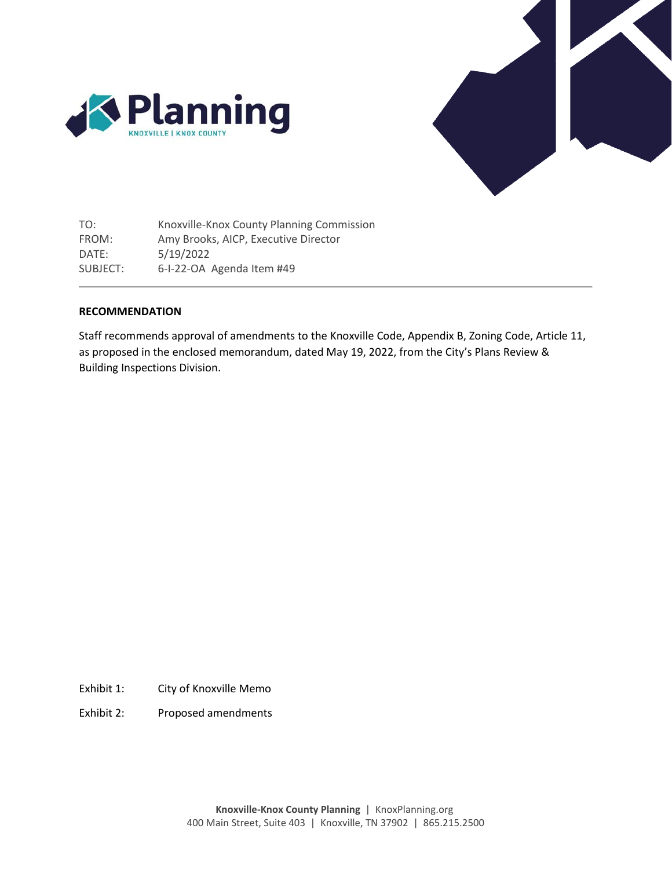



TO: FROM: DATE: SUBJECT: Knoxville-Knox County Planning Commission Amy Brooks, AICP, Executive Director 5/19/2022 6-I-22-OA Agenda Item #49

# **RECOMMENDATION**

Staff recommends approval of amendments to the Knoxville Code, Appendix B, Zoning Code, Article 11, as proposed in the enclosed memorandum, dated May 19, 2022, from the City's Plans Review & Building Inspections Division.

Exhibit 1: City of Knoxville Memo

Exhibit 2: Proposed amendments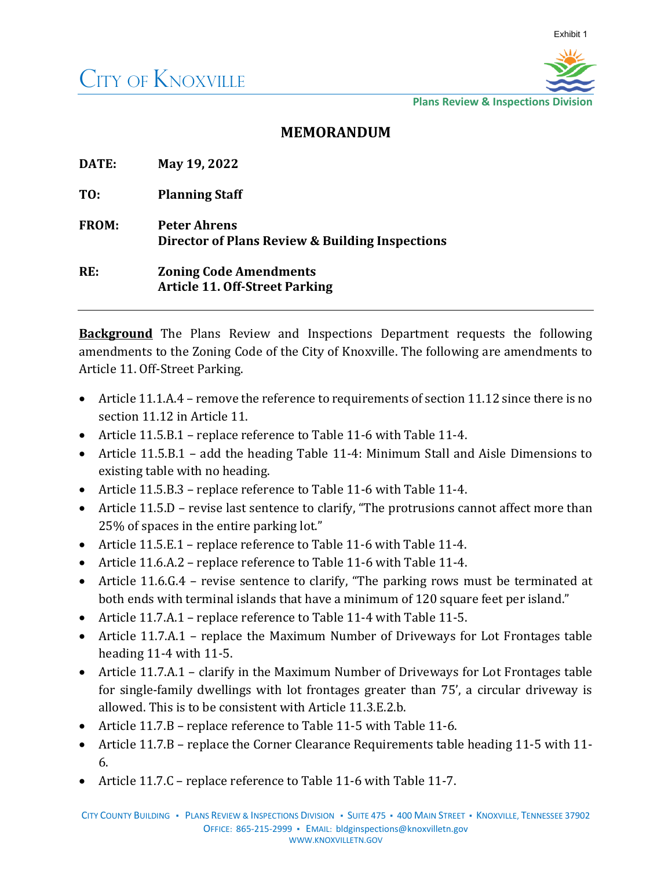

**Plans Review & Inspections Division**

# **MEMORANDUM**

| DATE:        | May 19, 2022                                                           |
|--------------|------------------------------------------------------------------------|
| TO:          | <b>Planning Staff</b>                                                  |
| <b>FROM:</b> | <b>Peter Ahrens</b><br>Director of Plans Review & Building Inspections |
| RE:          | <b>Zoning Code Amendments</b><br><b>Article 11. Off-Street Parking</b> |

**Background** The Plans Review and Inspections Department requests the following amendments to the Zoning Code of the City of Knoxville. The following are amendments to Article 11. Off-Street Parking.

- Article 11.1.A.4 remove the reference to requirements of section 11.12 since there is no section 11.12 in Article 11.
- Article 11.5.B.1 replace reference to Table 11-6 with Table 11-4.
- Article 11.5.B.1 add the heading Table 11-4: Minimum Stall and Aisle Dimensions to existing table with no heading.
- Article 11.5.B.3 replace reference to Table 11-6 with Table 11-4.
- Article 11.5.D revise last sentence to clarify, "The protrusions cannot affect more than 25% of spaces in the entire parking lot."
- Article 11.5.E.1 replace reference to Table 11-6 with Table 11-4.
- Article 11.6.A.2 replace reference to Table 11-6 with Table 11-4.
- Article 11.6.G.4 revise sentence to clarify, "The parking rows must be terminated at both ends with terminal islands that have a minimum of 120 square feet per island."
- Article 11.7.A.1 replace reference to Table 11-4 with Table 11-5.
- Article 11.7.A.1 replace the Maximum Number of Driveways for Lot Frontages table heading 11-4 with 11-5.
- Article 11.7.A.1 clarify in the Maximum Number of Driveways for Lot Frontages table for single-family dwellings with lot frontages greater than 75', a circular driveway is allowed. This is to be consistent with Article 11.3.E.2.b.
- Article 11.7.B replace reference to Table 11-5 with Table 11-6.
- Article 11.7.B replace the Corner Clearance Requirements table heading 11-5 with 11- 6.
- Article 11.7.C replace reference to Table 11-6 with Table 11-7.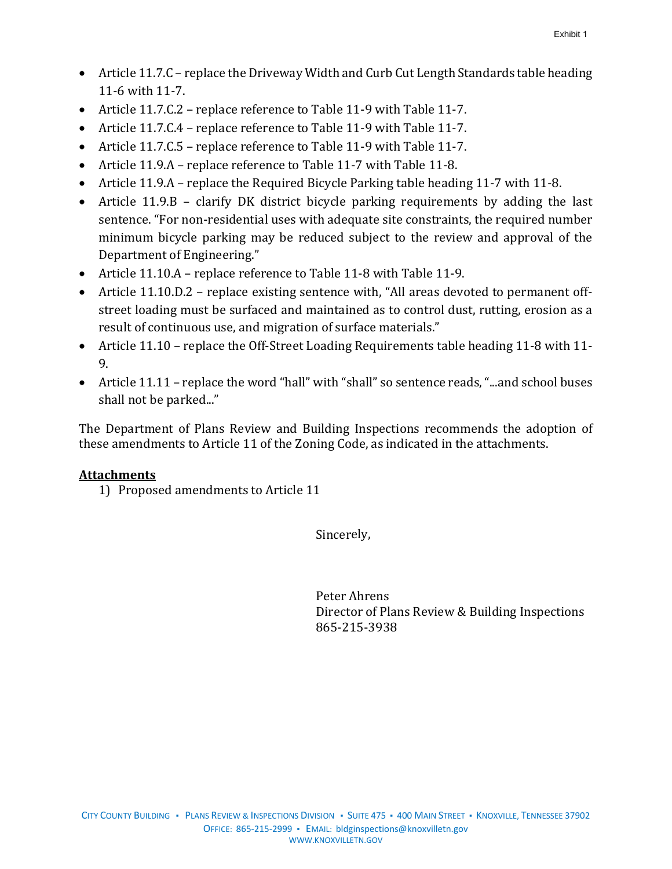- Article 11.7.C replace the Driveway Width and Curb Cut Length Standards table heading 11-6 with 11-7.
- Article 11.7.C.2 replace reference to Table 11-9 with Table 11-7.
- Article 11.7.C.4 replace reference to Table 11-9 with Table 11-7.
- Article 11.7.C.5 replace reference to Table 11-9 with Table 11-7.
- Article 11.9.A replace reference to Table 11-7 with Table 11-8.
- Article 11.9.A replace the Required Bicycle Parking table heading 11-7 with 11-8.
- Article 11.9.B clarify DK district bicycle parking requirements by adding the last sentence. "For non-residential uses with adequate site constraints, the required number minimum bicycle parking may be reduced subject to the review and approval of the Department of Engineering."
- Article 11.10.A replace reference to Table 11-8 with Table 11-9.
- Article 11.10.D.2 replace existing sentence with, "All areas devoted to permanent offstreet loading must be surfaced and maintained as to control dust, rutting, erosion as a result of continuous use, and migration of surface materials."
- Article 11.10 replace the Off-Street Loading Requirements table heading 11-8 with 11- 9.
- Article 11.11 replace the word "hall" with "shall" so sentence reads, "...and school buses shall not be parked..."

The Department of Plans Review and Building Inspections recommends the adoption of these amendments to Article 11 of the Zoning Code, as indicated in the attachments.

# **Attachments**

1) Proposed amendments to Article 11

Sincerely,

Peter Ahrens Director of Plans Review & Building Inspections 865-215-3938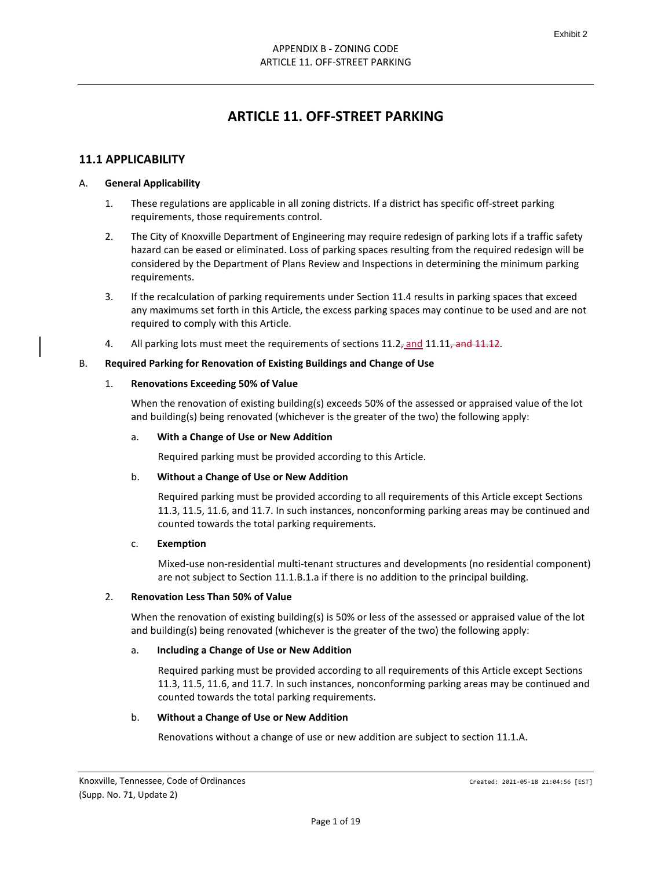# **ARTICLE 11. OFF-STREET PARKING**

# **11.1 APPLICABILITY**

#### A. **General Applicability**

- 1. These regulations are applicable in all zoning districts. If a district has specific off-street parking requirements, those requirements control.
- 2. The City of Knoxville Department of Engineering may require redesign of parking lots if a traffic safety hazard can be eased or eliminated. Loss of parking spaces resulting from the required redesign will be considered by the Department of Plans Review and Inspections in determining the minimum parking requirements.
- 3. If the recalculation of parking requirements under Section 11.4 results in parking spaces that exceed any maximums set forth in this Article, the excess parking spaces may continue to be used and are not required to comply with this Article.
- 4. All parking lots must meet the requirements of sections  $11.2<sub>7</sub>$  and  $11.11$ , and  $11.12$ .

#### B. **Required Parking for Renovation of Existing Buildings and Change of Use**

#### 1. **Renovations Exceeding 50% of Value**

When the renovation of existing building(s) exceeds 50% of the assessed or appraised value of the lot and building(s) being renovated (whichever is the greater of the two) the following apply:

#### a. **With a Change of Use or New Addition**

Required parking must be provided according to this Article.

#### b. **Without a Change of Use or New Addition**

Required parking must be provided according to all requirements of this Article except Sections 11.3, 11.5, 11.6, and 11.7. In such instances, nonconforming parking areas may be continued and counted towards the total parking requirements.

#### c. **Exemption**

Mixed-use non-residential multi-tenant structures and developments (no residential component) are not subject to Section 11.1.B.1.a if there is no addition to the principal building.

#### 2. **Renovation Less Than 50% of Value**

When the renovation of existing building(s) is 50% or less of the assessed or appraised value of the lot and building(s) being renovated (whichever is the greater of the two) the following apply:

#### a. **Including a Change of Use or New Addition**

Required parking must be provided according to all requirements of this Article except Sections 11.3, 11.5, 11.6, and 11.7. In such instances, nonconforming parking areas may be continued and counted towards the total parking requirements.

#### b. **Without a Change of Use or New Addition**

Renovations without a change of use or new addition are subject to section 11.1.A.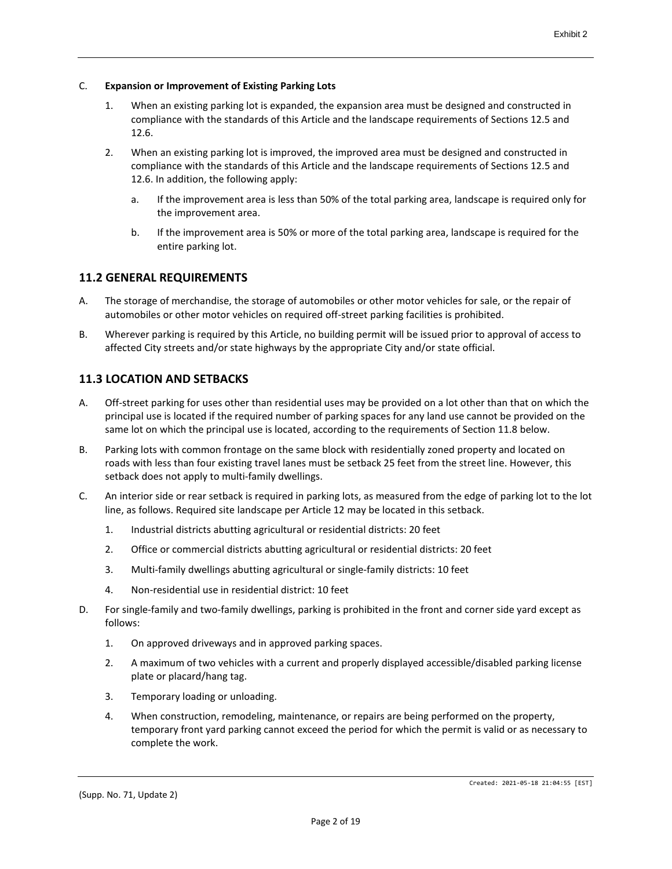#### C. **Expansion or Improvement of Existing Parking Lots**

- 1. When an existing parking lot is expanded, the expansion area must be designed and constructed in compliance with the standards of this Article and the landscape requirements of Sections 12.5 and 12.6.
- 2. When an existing parking lot is improved, the improved area must be designed and constructed in compliance with the standards of this Article and the landscape requirements of Sections 12.5 and 12.6. In addition, the following apply:
	- a. If the improvement area is less than 50% of the total parking area, landscape is required only for the improvement area.
	- b. If the improvement area is 50% or more of the total parking area, landscape is required for the entire parking lot.

# **11.2 GENERAL REQUIREMENTS**

- A. The storage of merchandise, the storage of automobiles or other motor vehicles for sale, or the repair of automobiles or other motor vehicles on required off-street parking facilities is prohibited.
- B. Wherever parking is required by this Article, no building permit will be issued prior to approval of access to affected City streets and/or state highways by the appropriate City and/or state official.

# **11.3 LOCATION AND SETBACKS**

- A. Off-street parking for uses other than residential uses may be provided on a lot other than that on which the principal use is located if the required number of parking spaces for any land use cannot be provided on the same lot on which the principal use is located, according to the requirements of Section 11.8 below.
- B. Parking lots with common frontage on the same block with residentially zoned property and located on roads with less than four existing travel lanes must be setback 25 feet from the street line. However, this setback does not apply to multi-family dwellings.
- C. An interior side or rear setback is required in parking lots, as measured from the edge of parking lot to the lot line, as follows. Required site landscape per Article 12 may be located in this setback.
	- 1. Industrial districts abutting agricultural or residential districts: 20 feet
	- 2. Office or commercial districts abutting agricultural or residential districts: 20 feet
	- 3. Multi-family dwellings abutting agricultural or single-family districts: 10 feet
	- 4. Non-residential use in residential district: 10 feet
- D. For single-family and two-family dwellings, parking is prohibited in the front and corner side yard except as follows:
	- 1. On approved driveways and in approved parking spaces.
	- 2. A maximum of two vehicles with a current and properly displayed accessible/disabled parking license plate or placard/hang tag.
	- 3. Temporary loading or unloading.
	- 4. When construction, remodeling, maintenance, or repairs are being performed on the property, temporary front yard parking cannot exceed the period for which the permit is valid or as necessary to complete the work.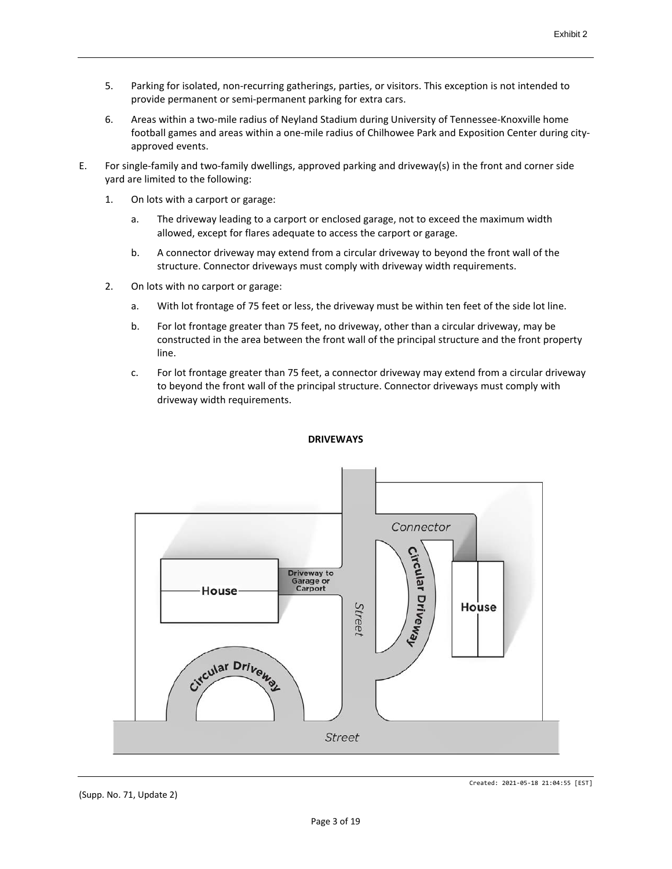- 5. Parking for isolated, non-recurring gatherings, parties, or visitors. This exception is not intended to provide permanent or semi-permanent parking for extra cars.
- 6. Areas within a two-mile radius of Neyland Stadium during University of Tennessee-Knoxville home football games and areas within a one-mile radius of Chilhowee Park and Exposition Center during cityapproved events.
- E. For single-family and two-family dwellings, approved parking and driveway(s) in the front and corner side yard are limited to the following:
	- 1. On lots with a carport or garage:
		- a. The driveway leading to a carport or enclosed garage, not to exceed the maximum width allowed, except for flares adequate to access the carport or garage.
		- b. A connector driveway may extend from a circular driveway to beyond the front wall of the structure. Connector driveways must comply with driveway width requirements.
	- 2. On lots with no carport or garage:
		- a. With lot frontage of 75 feet or less, the driveway must be within ten feet of the side lot line.
		- b. For lot frontage greater than 75 feet, no driveway, other than a circular driveway, may be constructed in the area between the front wall of the principal structure and the front property line.
		- c. For lot frontage greater than 75 feet, a connector driveway may extend from a circular driveway to beyond the front wall of the principal structure. Connector driveways must comply with driveway width requirements.



#### **DRIVEWAYS**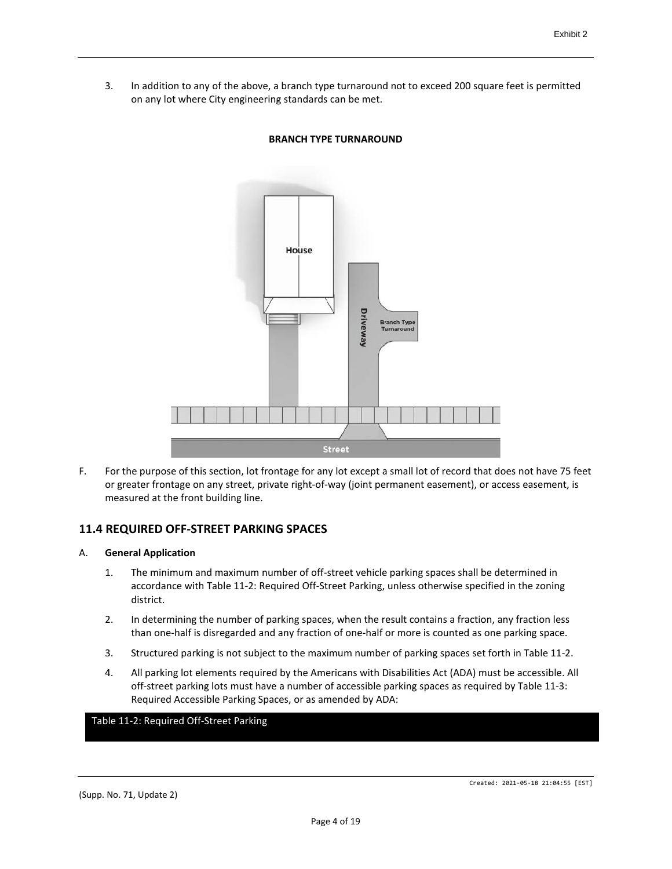3. In addition to any of the above, a branch type turnaround not to exceed 200 square feet is permitted on any lot where City engineering standards can be met.



### **BRANCH TYPE TURNAROUND**

F. For the purpose of this section, lot frontage for any lot except a small lot of record that does not have 75 feet or greater frontage on any street, private right-of-way (joint permanent easement), or access easement, is measured at the front building line.

# **11.4 REQUIRED OFF-STREET PARKING SPACES**

#### A. **General Application**

- 1. The minimum and maximum number of off-street vehicle parking spaces shall be determined in accordance with Table 11-2: Required Off-Street Parking, unless otherwise specified in the zoning district.
- 2. In determining the number of parking spaces, when the result contains a fraction, any fraction less than one-half is disregarded and any fraction of one-half or more is counted as one parking space.
- 3. Structured parking is not subject to the maximum number of parking spaces set forth in Table 11-2.
- 4. All parking lot elements required by the Americans with Disabilities Act (ADA) must be accessible. All off-street parking lots must have a number of accessible parking spaces as required by Table 11-3: Required Accessible Parking Spaces, or as amended by ADA:

#### Table 11-2: Required Off-Street Parking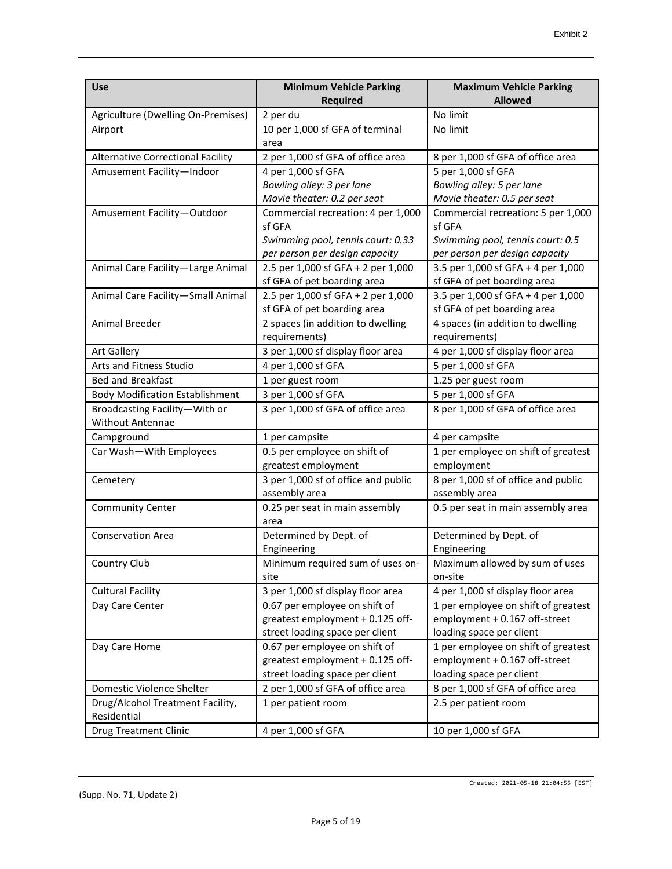| <b>Use</b>                             | <b>Minimum Vehicle Parking</b>                                    | <b>Maximum Vehicle Parking</b>                            |
|----------------------------------------|-------------------------------------------------------------------|-----------------------------------------------------------|
|                                        | <b>Required</b>                                                   | <b>Allowed</b>                                            |
| Agriculture (Dwelling On-Premises)     | 2 per du                                                          | No limit                                                  |
| Airport                                | 10 per 1,000 sf GFA of terminal<br>area                           | No limit                                                  |
| Alternative Correctional Facility      | 2 per 1,000 sf GFA of office area                                 | 8 per 1,000 sf GFA of office area                         |
| Amusement Facility-Indoor              | 4 per 1,000 sf GFA                                                | 5 per 1,000 sf GFA                                        |
|                                        | Bowling alley: 3 per lane                                         | Bowling alley: 5 per lane                                 |
|                                        | Movie theater: 0.2 per seat                                       | Movie theater: 0.5 per seat                               |
| Amusement Facility-Outdoor             | Commercial recreation: 4 per 1,000                                | Commercial recreation: 5 per 1,000                        |
|                                        | sf GFA                                                            | sf GFA                                                    |
|                                        | Swimming pool, tennis court: 0.33                                 | Swimming pool, tennis court: 0.5                          |
|                                        | per person per design capacity                                    | per person per design capacity                            |
| Animal Care Facility-Large Animal      | 2.5 per 1,000 sf GFA + 2 per 1,000                                | 3.5 per 1,000 sf GFA + 4 per 1,000                        |
|                                        | sf GFA of pet boarding area                                       | sf GFA of pet boarding area                               |
| Animal Care Facility-Small Animal      | 2.5 per 1,000 sf GFA + 2 per 1,000                                | 3.5 per 1,000 sf GFA + 4 per 1,000                        |
|                                        | sf GFA of pet boarding area                                       | sf GFA of pet boarding area                               |
| Animal Breeder                         | 2 spaces (in addition to dwelling                                 | 4 spaces (in addition to dwelling                         |
|                                        | requirements)                                                     | requirements)                                             |
| <b>Art Gallery</b>                     | 3 per 1,000 sf display floor area                                 | 4 per 1,000 sf display floor area                         |
| Arts and Fitness Studio                | 4 per 1,000 sf GFA                                                | 5 per 1,000 sf GFA                                        |
| <b>Bed and Breakfast</b>               | 1 per guest room                                                  | 1.25 per guest room                                       |
| <b>Body Modification Establishment</b> | 3 per 1,000 sf GFA                                                | 5 per 1,000 sf GFA                                        |
| Broadcasting Facility-With or          | 3 per 1,000 sf GFA of office area                                 | 8 per 1,000 sf GFA of office area                         |
| Without Antennae                       |                                                                   |                                                           |
| Campground                             | 1 per campsite                                                    | 4 per campsite                                            |
| Car Wash-With Employees                | 0.5 per employee on shift of<br>greatest employment               | 1 per employee on shift of greatest<br>employment         |
| Cemetery                               | 3 per 1,000 sf of office and public                               | 8 per 1,000 sf of office and public                       |
|                                        | assembly area                                                     | assembly area                                             |
| <b>Community Center</b>                | 0.25 per seat in main assembly                                    | 0.5 per seat in main assembly area                        |
|                                        | area                                                              |                                                           |
| <b>Conservation Area</b>               | Determined by Dept. of                                            | Determined by Dept. of                                    |
|                                        | Engineering                                                       | Engineering                                               |
| Country Club                           | Minimum required sum of uses on-                                  | Maximum allowed by sum of uses                            |
|                                        | site                                                              | on-site                                                   |
| <b>Cultural Facility</b>               | 3 per 1,000 sf display floor area                                 | 4 per 1,000 sf display floor area                         |
| Day Care Center                        | 0.67 per employee on shift of                                     | 1 per employee on shift of greatest                       |
|                                        | greatest employment + 0.125 off-                                  | employment + 0.167 off-street                             |
|                                        | street loading space per client                                   | loading space per client                                  |
| Day Care Home                          | 0.67 per employee on shift of<br>greatest employment + 0.125 off- | 1 per employee on shift of greatest                       |
|                                        | street loading space per client                                   | employment + 0.167 off-street<br>loading space per client |
| Domestic Violence Shelter              | 2 per 1,000 sf GFA of office area                                 | 8 per 1,000 sf GFA of office area                         |
| Drug/Alcohol Treatment Facility,       | 1 per patient room                                                | 2.5 per patient room                                      |
| Residential                            |                                                                   |                                                           |
| <b>Drug Treatment Clinic</b>           | 4 per 1,000 sf GFA                                                | 10 per 1,000 sf GFA                                       |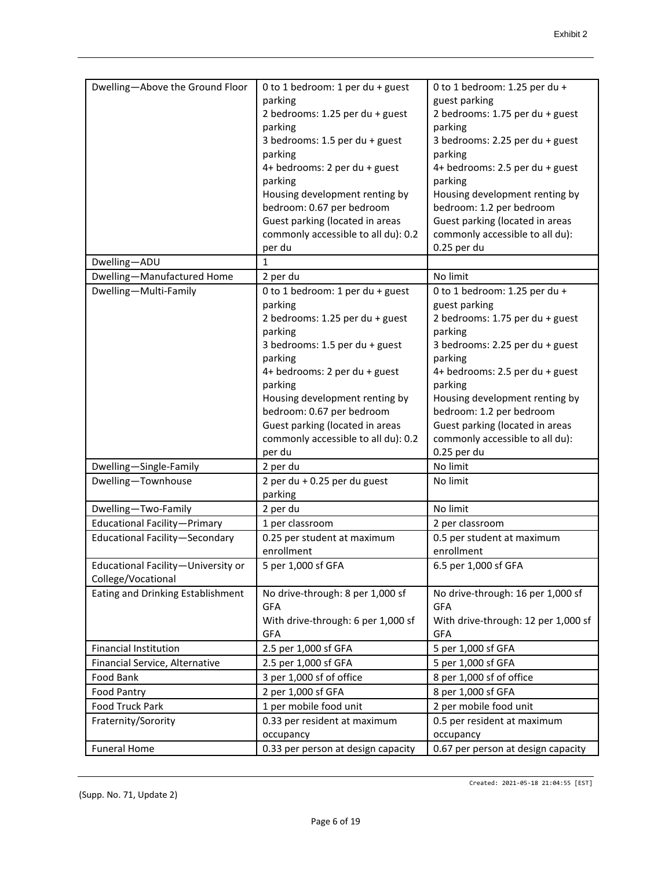| Dwelling-Above the Ground Floor     | 0 to 1 bedroom: 1 per du + guest    | 0 to 1 bedroom: 1.25 per du +       |
|-------------------------------------|-------------------------------------|-------------------------------------|
|                                     | parking                             | guest parking                       |
|                                     | 2 bedrooms: 1.25 per du + guest     | 2 bedrooms: 1.75 per du + guest     |
|                                     | parking                             | parking                             |
|                                     | 3 bedrooms: 1.5 per du + guest      | 3 bedrooms: 2.25 per du + guest     |
|                                     | parking                             | parking                             |
|                                     | 4+ bedrooms: 2 per du + guest       | 4+ bedrooms: 2.5 per du + guest     |
|                                     | parking                             | parking                             |
|                                     | Housing development renting by      | Housing development renting by      |
|                                     | bedroom: 0.67 per bedroom           | bedroom: 1.2 per bedroom            |
|                                     | Guest parking (located in areas     | Guest parking (located in areas     |
|                                     | commonly accessible to all du): 0.2 | commonly accessible to all du):     |
|                                     | per du                              | 0.25 per du                         |
| Dwelling-ADU                        | 1                                   |                                     |
| Dwelling-Manufactured Home          | 2 per du                            | No limit                            |
| Dwelling-Multi-Family               | 0 to 1 bedroom: 1 per du + guest    | 0 to 1 bedroom: 1.25 per du +       |
|                                     | parking                             | guest parking                       |
|                                     | 2 bedrooms: 1.25 per du + guest     | 2 bedrooms: 1.75 per du + guest     |
|                                     | parking                             | parking                             |
|                                     | 3 bedrooms: 1.5 per du + guest      | 3 bedrooms: 2.25 per du + guest     |
|                                     | parking                             | parking                             |
|                                     | 4+ bedrooms: 2 per du + guest       | 4+ bedrooms: 2.5 per du + guest     |
|                                     | parking                             | parking                             |
|                                     | Housing development renting by      | Housing development renting by      |
|                                     | bedroom: 0.67 per bedroom           | bedroom: 1.2 per bedroom            |
|                                     | Guest parking (located in areas     | Guest parking (located in areas     |
|                                     | commonly accessible to all du): 0.2 | commonly accessible to all du):     |
|                                     | per du                              | 0.25 per du                         |
| Dwelling-Single-Family              | 2 per du                            | No limit                            |
| Dwelling-Townhouse                  | 2 per du + 0.25 per du guest        | No limit                            |
|                                     | parking                             |                                     |
| Dwelling-Two-Family                 | 2 per du                            | No limit                            |
| <b>Educational Facility-Primary</b> | 1 per classroom                     | 2 per classroom                     |
| Educational Facility-Secondary      | 0.25 per student at maximum         | 0.5 per student at maximum          |
|                                     | enrollment                          | enrollment                          |
| Educational Facility-University or  | 5 per 1,000 sf GFA                  | 6.5 per 1,000 sf GFA                |
| College/Vocational                  |                                     |                                     |
| Eating and Drinking Establishment   | No drive-through: 8 per 1,000 sf    | No drive-through: 16 per 1,000 sf   |
|                                     | <b>GFA</b>                          | <b>GFA</b>                          |
|                                     | With drive-through: 6 per 1,000 sf  | With drive-through: 12 per 1,000 sf |
|                                     | <b>GFA</b>                          | <b>GFA</b>                          |
| <b>Financial Institution</b>        | 2.5 per 1,000 sf GFA                | 5 per 1,000 sf GFA                  |
| Financial Service, Alternative      | 2.5 per 1,000 sf GFA                | 5 per 1,000 sf GFA                  |
| Food Bank                           | 3 per 1,000 sf of office            | 8 per 1,000 sf of office            |
| <b>Food Pantry</b>                  | 2 per 1,000 sf GFA                  | 8 per 1,000 sf GFA                  |
| Food Truck Park                     | 1 per mobile food unit              | 2 per mobile food unit              |
| Fraternity/Sorority                 | 0.33 per resident at maximum        | 0.5 per resident at maximum         |
|                                     | occupancy                           | occupancy                           |
| <b>Funeral Home</b>                 | 0.33 per person at design capacity  | 0.67 per person at design capacity  |

Created: 2021-05-18 21:04:55 [EST]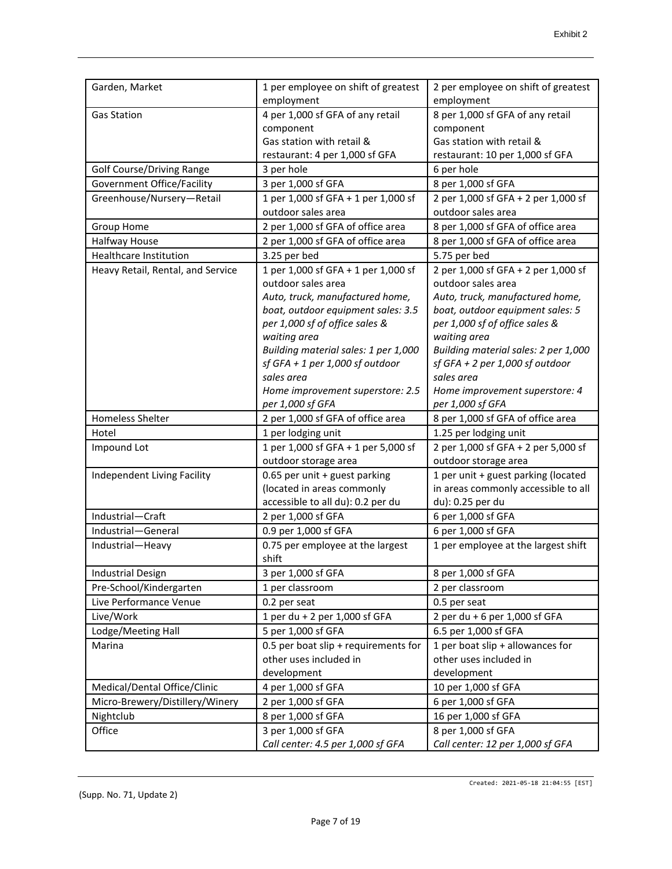| Garden, Market                    | 1 per employee on shift of greatest                     | 2 per employee on shift of greatest                    |
|-----------------------------------|---------------------------------------------------------|--------------------------------------------------------|
|                                   | employment                                              | employment                                             |
| <b>Gas Station</b>                | 4 per 1,000 sf GFA of any retail                        | 8 per 1,000 sf GFA of any retail                       |
|                                   | component                                               | component                                              |
|                                   | Gas station with retail &                               | Gas station with retail &                              |
|                                   | restaurant: 4 per 1,000 sf GFA                          | restaurant: 10 per 1,000 sf GFA                        |
| <b>Golf Course/Driving Range</b>  | 3 per hole                                              | 6 per hole                                             |
| Government Office/Facility        | 3 per 1,000 sf GFA                                      | 8 per 1,000 sf GFA                                     |
| Greenhouse/Nursery-Retail         | 1 per 1,000 sf GFA + 1 per 1,000 sf                     | 2 per 1,000 sf GFA + 2 per 1,000 sf                    |
|                                   | outdoor sales area                                      | outdoor sales area                                     |
| Group Home                        | 2 per 1,000 sf GFA of office area                       | 8 per 1,000 sf GFA of office area                      |
| Halfway House                     | 2 per 1,000 sf GFA of office area                       | 8 per 1,000 sf GFA of office area                      |
| <b>Healthcare Institution</b>     | 3.25 per bed                                            | 5.75 per bed                                           |
| Heavy Retail, Rental, and Service | 1 per 1,000 sf GFA + 1 per 1,000 sf                     | 2 per 1,000 sf GFA + 2 per 1,000 sf                    |
|                                   | outdoor sales area                                      | outdoor sales area                                     |
|                                   | Auto, truck, manufactured home,                         | Auto, truck, manufactured home,                        |
|                                   | boat, outdoor equipment sales: 3.5                      | boat, outdoor equipment sales: 5                       |
|                                   | per 1,000 sf of office sales &                          | per 1,000 sf of office sales &                         |
|                                   | waiting area                                            | waiting area                                           |
|                                   | Building material sales: 1 per 1,000                    | Building material sales: 2 per 1,000                   |
|                                   | $sf$ GFA + 1 per 1,000 sf outdoor                       | $sf$ GFA + 2 per 1,000 sf outdoor                      |
|                                   | sales area                                              | sales area                                             |
|                                   | Home improvement superstore: 2.5                        | Home improvement superstore: 4                         |
|                                   | per 1,000 sf GFA                                        | per 1,000 sf GFA                                       |
| <b>Homeless Shelter</b>           | 2 per 1,000 sf GFA of office area                       | 8 per 1,000 sf GFA of office area                      |
| Hotel                             | 1 per lodging unit                                      | 1.25 per lodging unit                                  |
| Impound Lot                       | 1 per 1,000 sf GFA + 1 per 5,000 sf                     | 2 per 1,000 sf GFA + 2 per 5,000 sf                    |
|                                   | outdoor storage area                                    | outdoor storage area                                   |
| Independent Living Facility       | 0.65 per unit + guest parking                           | 1 per unit + guest parking (located                    |
|                                   | (located in areas commonly                              | in areas commonly accessible to all                    |
|                                   | accessible to all du): 0.2 per du                       | du): 0.25 per du                                       |
| Industrial-Craft                  | 2 per 1,000 sf GFA                                      | 6 per 1,000 sf GFA                                     |
| Industrial-General                | 0.9 per 1,000 sf GFA                                    | 6 per 1,000 sf GFA                                     |
| Industrial-Heavy                  | 0.75 per employee at the largest                        | 1 per employee at the largest shift                    |
|                                   | shift                                                   |                                                        |
| <b>Industrial Design</b>          | 3 per 1,000 sf GFA                                      | 8 per 1,000 sf GFA                                     |
| Pre-School/Kindergarten           |                                                         |                                                        |
| Live Performance Venue            |                                                         |                                                        |
|                                   | 1 per classroom                                         | 2 per classroom                                        |
|                                   | 0.2 per seat                                            | 0.5 per seat                                           |
| Live/Work                         | 1 per du + 2 per 1,000 sf GFA                           | 2 per du + 6 per 1,000 sf GFA                          |
| Lodge/Meeting Hall                | 5 per 1,000 sf GFA                                      | 6.5 per 1,000 sf GFA                                   |
| Marina                            | 0.5 per boat slip + requirements for                    | 1 per boat slip + allowances for                       |
|                                   | other uses included in                                  | other uses included in                                 |
|                                   | development                                             | development                                            |
| Medical/Dental Office/Clinic      | 4 per 1,000 sf GFA                                      | 10 per 1,000 sf GFA                                    |
| Micro-Brewery/Distillery/Winery   | 2 per 1,000 sf GFA                                      | 6 per 1,000 sf GFA                                     |
| Nightclub                         | 8 per 1,000 sf GFA                                      | 16 per 1,000 sf GFA                                    |
| Office                            | 3 per 1,000 sf GFA<br>Call center: 4.5 per 1,000 sf GFA | 8 per 1,000 sf GFA<br>Call center: 12 per 1,000 sf GFA |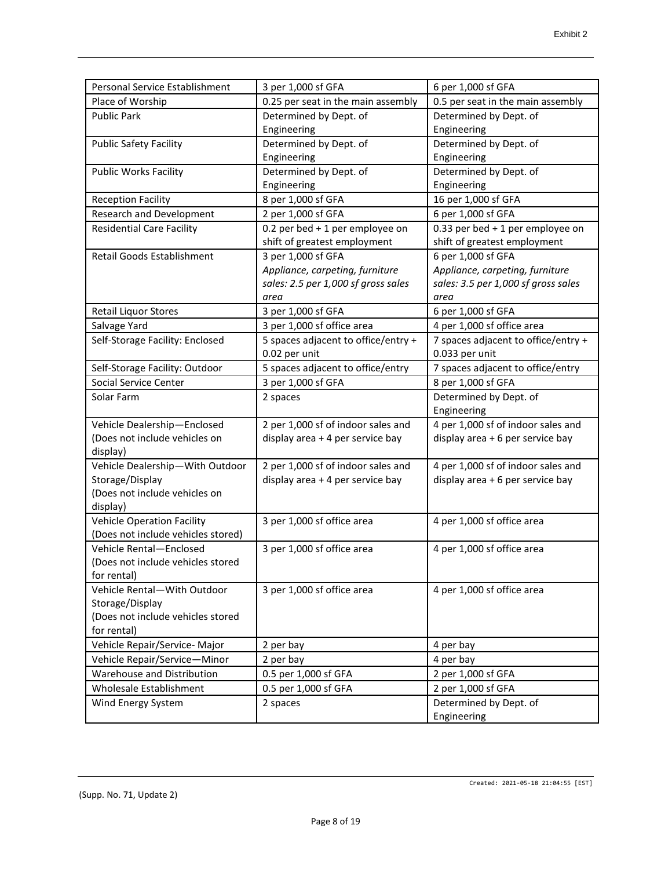| 0.25 per seat in the main assembly<br>Place of Worship<br>0.5 per seat in the main assembly<br>Determined by Dept. of<br>Determined by Dept. of<br><b>Public Park</b><br>Engineering<br>Engineering<br><b>Public Safety Facility</b><br>Determined by Dept. of<br>Determined by Dept. of<br>Engineering<br>Engineering<br><b>Public Works Facility</b><br>Determined by Dept. of<br>Determined by Dept. of<br>Engineering<br>Engineering<br>16 per 1,000 sf GFA<br><b>Reception Facility</b><br>8 per 1,000 sf GFA<br>Research and Development<br>2 per 1,000 sf GFA<br>6 per 1,000 sf GFA<br><b>Residential Care Facility</b><br>0.2 per bed + 1 per employee on<br>0.33 per bed $+1$ per employee on<br>shift of greatest employment<br>shift of greatest employment<br>3 per 1,000 sf GFA<br>6 per 1,000 sf GFA<br>Retail Goods Establishment<br>Appliance, carpeting, furniture<br>Appliance, carpeting, furniture<br>sales: 2.5 per 1,000 sf gross sales<br>sales: 3.5 per 1,000 sf gross sales<br>area<br>area<br><b>Retail Liquor Stores</b><br>6 per 1,000 sf GFA<br>3 per 1,000 sf GFA<br>3 per 1,000 sf office area<br>Salvage Yard<br>4 per 1,000 sf office area<br>5 spaces adjacent to office/entry +<br>7 spaces adjacent to office/entry +<br>Self-Storage Facility: Enclosed<br>0.02 per unit<br>0.033 per unit<br>5 spaces adjacent to office/entry<br>7 spaces adjacent to office/entry<br>Self-Storage Facility: Outdoor<br>Social Service Center<br>3 per 1,000 sf GFA<br>8 per 1,000 sf GFA<br>Determined by Dept. of<br>Solar Farm<br>2 spaces<br>Engineering<br>4 per 1,000 sf of indoor sales and<br>Vehicle Dealership-Enclosed<br>2 per 1,000 sf of indoor sales and<br>(Does not include vehicles on<br>display area + 4 per service bay<br>display area + 6 per service bay<br>display)<br>Vehicle Dealership-With Outdoor<br>2 per 1,000 sf of indoor sales and<br>4 per 1,000 sf of indoor sales and<br>Storage/Display<br>display area + 4 per service bay<br>display area + 6 per service bay<br>(Does not include vehicles on<br>display)<br><b>Vehicle Operation Facility</b><br>3 per 1,000 sf office area<br>4 per 1,000 sf office area<br>(Does not include vehicles stored)<br>Vehicle Rental-Enclosed<br>3 per 1,000 sf office area<br>4 per 1,000 sf office area<br>(Does not include vehicles stored<br>for rental)<br>Vehicle Rental-With Outdoor<br>3 per 1,000 sf office area<br>4 per 1,000 sf office area<br>Storage/Display<br>(Does not include vehicles stored<br>for rental)<br>Vehicle Repair/Service- Major<br>2 per bay<br>4 per bay<br>Vehicle Repair/Service-Minor<br>2 per bay<br>4 per bay<br>Warehouse and Distribution<br>0.5 per 1,000 sf GFA<br>2 per 1,000 sf GFA<br>Wholesale Establishment<br>0.5 per 1,000 sf GFA<br>2 per 1,000 sf GFA | Personal Service Establishment | 3 per 1,000 sf GFA | 6 per 1,000 sf GFA     |
|----------------------------------------------------------------------------------------------------------------------------------------------------------------------------------------------------------------------------------------------------------------------------------------------------------------------------------------------------------------------------------------------------------------------------------------------------------------------------------------------------------------------------------------------------------------------------------------------------------------------------------------------------------------------------------------------------------------------------------------------------------------------------------------------------------------------------------------------------------------------------------------------------------------------------------------------------------------------------------------------------------------------------------------------------------------------------------------------------------------------------------------------------------------------------------------------------------------------------------------------------------------------------------------------------------------------------------------------------------------------------------------------------------------------------------------------------------------------------------------------------------------------------------------------------------------------------------------------------------------------------------------------------------------------------------------------------------------------------------------------------------------------------------------------------------------------------------------------------------------------------------------------------------------------------------------------------------------------------------------------------------------------------------------------------------------------------------------------------------------------------------------------------------------------------------------------------------------------------------------------------------------------------------------------------------------------------------------------------------------------------------------------------------------------------------------------------------------------------------------------------------------------------------------------------------------------------------------------------------------------------------------------------------------------------------------------------------------------------------------------------------------------------------------------------------|--------------------------------|--------------------|------------------------|
|                                                                                                                                                                                                                                                                                                                                                                                                                                                                                                                                                                                                                                                                                                                                                                                                                                                                                                                                                                                                                                                                                                                                                                                                                                                                                                                                                                                                                                                                                                                                                                                                                                                                                                                                                                                                                                                                                                                                                                                                                                                                                                                                                                                                                                                                                                                                                                                                                                                                                                                                                                                                                                                                                                                                                                                                          |                                |                    |                        |
|                                                                                                                                                                                                                                                                                                                                                                                                                                                                                                                                                                                                                                                                                                                                                                                                                                                                                                                                                                                                                                                                                                                                                                                                                                                                                                                                                                                                                                                                                                                                                                                                                                                                                                                                                                                                                                                                                                                                                                                                                                                                                                                                                                                                                                                                                                                                                                                                                                                                                                                                                                                                                                                                                                                                                                                                          |                                |                    |                        |
|                                                                                                                                                                                                                                                                                                                                                                                                                                                                                                                                                                                                                                                                                                                                                                                                                                                                                                                                                                                                                                                                                                                                                                                                                                                                                                                                                                                                                                                                                                                                                                                                                                                                                                                                                                                                                                                                                                                                                                                                                                                                                                                                                                                                                                                                                                                                                                                                                                                                                                                                                                                                                                                                                                                                                                                                          |                                |                    |                        |
|                                                                                                                                                                                                                                                                                                                                                                                                                                                                                                                                                                                                                                                                                                                                                                                                                                                                                                                                                                                                                                                                                                                                                                                                                                                                                                                                                                                                                                                                                                                                                                                                                                                                                                                                                                                                                                                                                                                                                                                                                                                                                                                                                                                                                                                                                                                                                                                                                                                                                                                                                                                                                                                                                                                                                                                                          |                                |                    |                        |
|                                                                                                                                                                                                                                                                                                                                                                                                                                                                                                                                                                                                                                                                                                                                                                                                                                                                                                                                                                                                                                                                                                                                                                                                                                                                                                                                                                                                                                                                                                                                                                                                                                                                                                                                                                                                                                                                                                                                                                                                                                                                                                                                                                                                                                                                                                                                                                                                                                                                                                                                                                                                                                                                                                                                                                                                          |                                |                    |                        |
|                                                                                                                                                                                                                                                                                                                                                                                                                                                                                                                                                                                                                                                                                                                                                                                                                                                                                                                                                                                                                                                                                                                                                                                                                                                                                                                                                                                                                                                                                                                                                                                                                                                                                                                                                                                                                                                                                                                                                                                                                                                                                                                                                                                                                                                                                                                                                                                                                                                                                                                                                                                                                                                                                                                                                                                                          |                                |                    |                        |
|                                                                                                                                                                                                                                                                                                                                                                                                                                                                                                                                                                                                                                                                                                                                                                                                                                                                                                                                                                                                                                                                                                                                                                                                                                                                                                                                                                                                                                                                                                                                                                                                                                                                                                                                                                                                                                                                                                                                                                                                                                                                                                                                                                                                                                                                                                                                                                                                                                                                                                                                                                                                                                                                                                                                                                                                          |                                |                    |                        |
|                                                                                                                                                                                                                                                                                                                                                                                                                                                                                                                                                                                                                                                                                                                                                                                                                                                                                                                                                                                                                                                                                                                                                                                                                                                                                                                                                                                                                                                                                                                                                                                                                                                                                                                                                                                                                                                                                                                                                                                                                                                                                                                                                                                                                                                                                                                                                                                                                                                                                                                                                                                                                                                                                                                                                                                                          |                                |                    |                        |
|                                                                                                                                                                                                                                                                                                                                                                                                                                                                                                                                                                                                                                                                                                                                                                                                                                                                                                                                                                                                                                                                                                                                                                                                                                                                                                                                                                                                                                                                                                                                                                                                                                                                                                                                                                                                                                                                                                                                                                                                                                                                                                                                                                                                                                                                                                                                                                                                                                                                                                                                                                                                                                                                                                                                                                                                          |                                |                    |                        |
|                                                                                                                                                                                                                                                                                                                                                                                                                                                                                                                                                                                                                                                                                                                                                                                                                                                                                                                                                                                                                                                                                                                                                                                                                                                                                                                                                                                                                                                                                                                                                                                                                                                                                                                                                                                                                                                                                                                                                                                                                                                                                                                                                                                                                                                                                                                                                                                                                                                                                                                                                                                                                                                                                                                                                                                                          |                                |                    |                        |
|                                                                                                                                                                                                                                                                                                                                                                                                                                                                                                                                                                                                                                                                                                                                                                                                                                                                                                                                                                                                                                                                                                                                                                                                                                                                                                                                                                                                                                                                                                                                                                                                                                                                                                                                                                                                                                                                                                                                                                                                                                                                                                                                                                                                                                                                                                                                                                                                                                                                                                                                                                                                                                                                                                                                                                                                          |                                |                    |                        |
|                                                                                                                                                                                                                                                                                                                                                                                                                                                                                                                                                                                                                                                                                                                                                                                                                                                                                                                                                                                                                                                                                                                                                                                                                                                                                                                                                                                                                                                                                                                                                                                                                                                                                                                                                                                                                                                                                                                                                                                                                                                                                                                                                                                                                                                                                                                                                                                                                                                                                                                                                                                                                                                                                                                                                                                                          |                                |                    |                        |
|                                                                                                                                                                                                                                                                                                                                                                                                                                                                                                                                                                                                                                                                                                                                                                                                                                                                                                                                                                                                                                                                                                                                                                                                                                                                                                                                                                                                                                                                                                                                                                                                                                                                                                                                                                                                                                                                                                                                                                                                                                                                                                                                                                                                                                                                                                                                                                                                                                                                                                                                                                                                                                                                                                                                                                                                          |                                |                    |                        |
|                                                                                                                                                                                                                                                                                                                                                                                                                                                                                                                                                                                                                                                                                                                                                                                                                                                                                                                                                                                                                                                                                                                                                                                                                                                                                                                                                                                                                                                                                                                                                                                                                                                                                                                                                                                                                                                                                                                                                                                                                                                                                                                                                                                                                                                                                                                                                                                                                                                                                                                                                                                                                                                                                                                                                                                                          |                                |                    |                        |
|                                                                                                                                                                                                                                                                                                                                                                                                                                                                                                                                                                                                                                                                                                                                                                                                                                                                                                                                                                                                                                                                                                                                                                                                                                                                                                                                                                                                                                                                                                                                                                                                                                                                                                                                                                                                                                                                                                                                                                                                                                                                                                                                                                                                                                                                                                                                                                                                                                                                                                                                                                                                                                                                                                                                                                                                          |                                |                    |                        |
|                                                                                                                                                                                                                                                                                                                                                                                                                                                                                                                                                                                                                                                                                                                                                                                                                                                                                                                                                                                                                                                                                                                                                                                                                                                                                                                                                                                                                                                                                                                                                                                                                                                                                                                                                                                                                                                                                                                                                                                                                                                                                                                                                                                                                                                                                                                                                                                                                                                                                                                                                                                                                                                                                                                                                                                                          |                                |                    |                        |
|                                                                                                                                                                                                                                                                                                                                                                                                                                                                                                                                                                                                                                                                                                                                                                                                                                                                                                                                                                                                                                                                                                                                                                                                                                                                                                                                                                                                                                                                                                                                                                                                                                                                                                                                                                                                                                                                                                                                                                                                                                                                                                                                                                                                                                                                                                                                                                                                                                                                                                                                                                                                                                                                                                                                                                                                          |                                |                    |                        |
|                                                                                                                                                                                                                                                                                                                                                                                                                                                                                                                                                                                                                                                                                                                                                                                                                                                                                                                                                                                                                                                                                                                                                                                                                                                                                                                                                                                                                                                                                                                                                                                                                                                                                                                                                                                                                                                                                                                                                                                                                                                                                                                                                                                                                                                                                                                                                                                                                                                                                                                                                                                                                                                                                                                                                                                                          |                                |                    |                        |
|                                                                                                                                                                                                                                                                                                                                                                                                                                                                                                                                                                                                                                                                                                                                                                                                                                                                                                                                                                                                                                                                                                                                                                                                                                                                                                                                                                                                                                                                                                                                                                                                                                                                                                                                                                                                                                                                                                                                                                                                                                                                                                                                                                                                                                                                                                                                                                                                                                                                                                                                                                                                                                                                                                                                                                                                          |                                |                    |                        |
|                                                                                                                                                                                                                                                                                                                                                                                                                                                                                                                                                                                                                                                                                                                                                                                                                                                                                                                                                                                                                                                                                                                                                                                                                                                                                                                                                                                                                                                                                                                                                                                                                                                                                                                                                                                                                                                                                                                                                                                                                                                                                                                                                                                                                                                                                                                                                                                                                                                                                                                                                                                                                                                                                                                                                                                                          |                                |                    |                        |
|                                                                                                                                                                                                                                                                                                                                                                                                                                                                                                                                                                                                                                                                                                                                                                                                                                                                                                                                                                                                                                                                                                                                                                                                                                                                                                                                                                                                                                                                                                                                                                                                                                                                                                                                                                                                                                                                                                                                                                                                                                                                                                                                                                                                                                                                                                                                                                                                                                                                                                                                                                                                                                                                                                                                                                                                          |                                |                    |                        |
|                                                                                                                                                                                                                                                                                                                                                                                                                                                                                                                                                                                                                                                                                                                                                                                                                                                                                                                                                                                                                                                                                                                                                                                                                                                                                                                                                                                                                                                                                                                                                                                                                                                                                                                                                                                                                                                                                                                                                                                                                                                                                                                                                                                                                                                                                                                                                                                                                                                                                                                                                                                                                                                                                                                                                                                                          |                                |                    |                        |
|                                                                                                                                                                                                                                                                                                                                                                                                                                                                                                                                                                                                                                                                                                                                                                                                                                                                                                                                                                                                                                                                                                                                                                                                                                                                                                                                                                                                                                                                                                                                                                                                                                                                                                                                                                                                                                                                                                                                                                                                                                                                                                                                                                                                                                                                                                                                                                                                                                                                                                                                                                                                                                                                                                                                                                                                          |                                |                    |                        |
|                                                                                                                                                                                                                                                                                                                                                                                                                                                                                                                                                                                                                                                                                                                                                                                                                                                                                                                                                                                                                                                                                                                                                                                                                                                                                                                                                                                                                                                                                                                                                                                                                                                                                                                                                                                                                                                                                                                                                                                                                                                                                                                                                                                                                                                                                                                                                                                                                                                                                                                                                                                                                                                                                                                                                                                                          |                                |                    |                        |
|                                                                                                                                                                                                                                                                                                                                                                                                                                                                                                                                                                                                                                                                                                                                                                                                                                                                                                                                                                                                                                                                                                                                                                                                                                                                                                                                                                                                                                                                                                                                                                                                                                                                                                                                                                                                                                                                                                                                                                                                                                                                                                                                                                                                                                                                                                                                                                                                                                                                                                                                                                                                                                                                                                                                                                                                          |                                |                    |                        |
|                                                                                                                                                                                                                                                                                                                                                                                                                                                                                                                                                                                                                                                                                                                                                                                                                                                                                                                                                                                                                                                                                                                                                                                                                                                                                                                                                                                                                                                                                                                                                                                                                                                                                                                                                                                                                                                                                                                                                                                                                                                                                                                                                                                                                                                                                                                                                                                                                                                                                                                                                                                                                                                                                                                                                                                                          |                                |                    |                        |
|                                                                                                                                                                                                                                                                                                                                                                                                                                                                                                                                                                                                                                                                                                                                                                                                                                                                                                                                                                                                                                                                                                                                                                                                                                                                                                                                                                                                                                                                                                                                                                                                                                                                                                                                                                                                                                                                                                                                                                                                                                                                                                                                                                                                                                                                                                                                                                                                                                                                                                                                                                                                                                                                                                                                                                                                          |                                |                    |                        |
|                                                                                                                                                                                                                                                                                                                                                                                                                                                                                                                                                                                                                                                                                                                                                                                                                                                                                                                                                                                                                                                                                                                                                                                                                                                                                                                                                                                                                                                                                                                                                                                                                                                                                                                                                                                                                                                                                                                                                                                                                                                                                                                                                                                                                                                                                                                                                                                                                                                                                                                                                                                                                                                                                                                                                                                                          |                                |                    |                        |
|                                                                                                                                                                                                                                                                                                                                                                                                                                                                                                                                                                                                                                                                                                                                                                                                                                                                                                                                                                                                                                                                                                                                                                                                                                                                                                                                                                                                                                                                                                                                                                                                                                                                                                                                                                                                                                                                                                                                                                                                                                                                                                                                                                                                                                                                                                                                                                                                                                                                                                                                                                                                                                                                                                                                                                                                          |                                |                    |                        |
|                                                                                                                                                                                                                                                                                                                                                                                                                                                                                                                                                                                                                                                                                                                                                                                                                                                                                                                                                                                                                                                                                                                                                                                                                                                                                                                                                                                                                                                                                                                                                                                                                                                                                                                                                                                                                                                                                                                                                                                                                                                                                                                                                                                                                                                                                                                                                                                                                                                                                                                                                                                                                                                                                                                                                                                                          |                                |                    |                        |
|                                                                                                                                                                                                                                                                                                                                                                                                                                                                                                                                                                                                                                                                                                                                                                                                                                                                                                                                                                                                                                                                                                                                                                                                                                                                                                                                                                                                                                                                                                                                                                                                                                                                                                                                                                                                                                                                                                                                                                                                                                                                                                                                                                                                                                                                                                                                                                                                                                                                                                                                                                                                                                                                                                                                                                                                          |                                |                    |                        |
|                                                                                                                                                                                                                                                                                                                                                                                                                                                                                                                                                                                                                                                                                                                                                                                                                                                                                                                                                                                                                                                                                                                                                                                                                                                                                                                                                                                                                                                                                                                                                                                                                                                                                                                                                                                                                                                                                                                                                                                                                                                                                                                                                                                                                                                                                                                                                                                                                                                                                                                                                                                                                                                                                                                                                                                                          |                                |                    |                        |
|                                                                                                                                                                                                                                                                                                                                                                                                                                                                                                                                                                                                                                                                                                                                                                                                                                                                                                                                                                                                                                                                                                                                                                                                                                                                                                                                                                                                                                                                                                                                                                                                                                                                                                                                                                                                                                                                                                                                                                                                                                                                                                                                                                                                                                                                                                                                                                                                                                                                                                                                                                                                                                                                                                                                                                                                          |                                |                    |                        |
|                                                                                                                                                                                                                                                                                                                                                                                                                                                                                                                                                                                                                                                                                                                                                                                                                                                                                                                                                                                                                                                                                                                                                                                                                                                                                                                                                                                                                                                                                                                                                                                                                                                                                                                                                                                                                                                                                                                                                                                                                                                                                                                                                                                                                                                                                                                                                                                                                                                                                                                                                                                                                                                                                                                                                                                                          |                                |                    |                        |
|                                                                                                                                                                                                                                                                                                                                                                                                                                                                                                                                                                                                                                                                                                                                                                                                                                                                                                                                                                                                                                                                                                                                                                                                                                                                                                                                                                                                                                                                                                                                                                                                                                                                                                                                                                                                                                                                                                                                                                                                                                                                                                                                                                                                                                                                                                                                                                                                                                                                                                                                                                                                                                                                                                                                                                                                          |                                |                    |                        |
|                                                                                                                                                                                                                                                                                                                                                                                                                                                                                                                                                                                                                                                                                                                                                                                                                                                                                                                                                                                                                                                                                                                                                                                                                                                                                                                                                                                                                                                                                                                                                                                                                                                                                                                                                                                                                                                                                                                                                                                                                                                                                                                                                                                                                                                                                                                                                                                                                                                                                                                                                                                                                                                                                                                                                                                                          |                                |                    |                        |
|                                                                                                                                                                                                                                                                                                                                                                                                                                                                                                                                                                                                                                                                                                                                                                                                                                                                                                                                                                                                                                                                                                                                                                                                                                                                                                                                                                                                                                                                                                                                                                                                                                                                                                                                                                                                                                                                                                                                                                                                                                                                                                                                                                                                                                                                                                                                                                                                                                                                                                                                                                                                                                                                                                                                                                                                          |                                |                    |                        |
|                                                                                                                                                                                                                                                                                                                                                                                                                                                                                                                                                                                                                                                                                                                                                                                                                                                                                                                                                                                                                                                                                                                                                                                                                                                                                                                                                                                                                                                                                                                                                                                                                                                                                                                                                                                                                                                                                                                                                                                                                                                                                                                                                                                                                                                                                                                                                                                                                                                                                                                                                                                                                                                                                                                                                                                                          |                                |                    |                        |
|                                                                                                                                                                                                                                                                                                                                                                                                                                                                                                                                                                                                                                                                                                                                                                                                                                                                                                                                                                                                                                                                                                                                                                                                                                                                                                                                                                                                                                                                                                                                                                                                                                                                                                                                                                                                                                                                                                                                                                                                                                                                                                                                                                                                                                                                                                                                                                                                                                                                                                                                                                                                                                                                                                                                                                                                          |                                |                    |                        |
|                                                                                                                                                                                                                                                                                                                                                                                                                                                                                                                                                                                                                                                                                                                                                                                                                                                                                                                                                                                                                                                                                                                                                                                                                                                                                                                                                                                                                                                                                                                                                                                                                                                                                                                                                                                                                                                                                                                                                                                                                                                                                                                                                                                                                                                                                                                                                                                                                                                                                                                                                                                                                                                                                                                                                                                                          |                                |                    |                        |
|                                                                                                                                                                                                                                                                                                                                                                                                                                                                                                                                                                                                                                                                                                                                                                                                                                                                                                                                                                                                                                                                                                                                                                                                                                                                                                                                                                                                                                                                                                                                                                                                                                                                                                                                                                                                                                                                                                                                                                                                                                                                                                                                                                                                                                                                                                                                                                                                                                                                                                                                                                                                                                                                                                                                                                                                          |                                |                    |                        |
|                                                                                                                                                                                                                                                                                                                                                                                                                                                                                                                                                                                                                                                                                                                                                                                                                                                                                                                                                                                                                                                                                                                                                                                                                                                                                                                                                                                                                                                                                                                                                                                                                                                                                                                                                                                                                                                                                                                                                                                                                                                                                                                                                                                                                                                                                                                                                                                                                                                                                                                                                                                                                                                                                                                                                                                                          |                                |                    |                        |
|                                                                                                                                                                                                                                                                                                                                                                                                                                                                                                                                                                                                                                                                                                                                                                                                                                                                                                                                                                                                                                                                                                                                                                                                                                                                                                                                                                                                                                                                                                                                                                                                                                                                                                                                                                                                                                                                                                                                                                                                                                                                                                                                                                                                                                                                                                                                                                                                                                                                                                                                                                                                                                                                                                                                                                                                          | Wind Energy System             | 2 spaces           | Determined by Dept. of |
| Engineering                                                                                                                                                                                                                                                                                                                                                                                                                                                                                                                                                                                                                                                                                                                                                                                                                                                                                                                                                                                                                                                                                                                                                                                                                                                                                                                                                                                                                                                                                                                                                                                                                                                                                                                                                                                                                                                                                                                                                                                                                                                                                                                                                                                                                                                                                                                                                                                                                                                                                                                                                                                                                                                                                                                                                                                              |                                |                    |                        |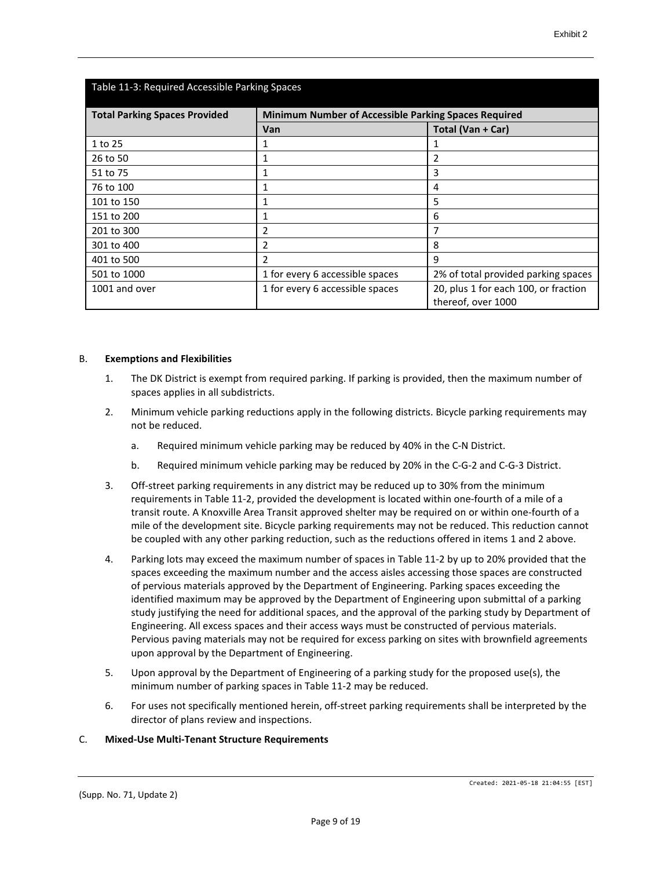| Table 11-3: Required Accessible Parking Spaces                                               |                                 |                                                            |  |  |
|----------------------------------------------------------------------------------------------|---------------------------------|------------------------------------------------------------|--|--|
| <b>Total Parking Spaces Provided</b><br>Minimum Number of Accessible Parking Spaces Required |                                 |                                                            |  |  |
|                                                                                              | Van                             | Total (Van + Car)                                          |  |  |
| 1 to 25                                                                                      | 1                               |                                                            |  |  |
| 26 to 50                                                                                     | 1                               | 2                                                          |  |  |
| 51 to 75                                                                                     | 1                               | 3                                                          |  |  |
| 76 to 100                                                                                    | 1                               | 4                                                          |  |  |
| 101 to 150                                                                                   | 1                               | 5                                                          |  |  |
| 151 to 200                                                                                   | 1                               | 6                                                          |  |  |
| 201 to 300                                                                                   | 2                               | 7                                                          |  |  |
| 301 to 400                                                                                   | 2                               | 8                                                          |  |  |
| 401 to 500                                                                                   | $\mathfrak z$                   | 9                                                          |  |  |
| 501 to 1000                                                                                  | 1 for every 6 accessible spaces | 2% of total provided parking spaces                        |  |  |
| 1001 and over                                                                                | 1 for every 6 accessible spaces | 20, plus 1 for each 100, or fraction<br>thereof, over 1000 |  |  |

#### B. **Exemptions and Flexibilities**

- 1. The DK District is exempt from required parking. If parking is provided, then the maximum number of spaces applies in all subdistricts.
- 2. Minimum vehicle parking reductions apply in the following districts. Bicycle parking requirements may not be reduced.
	- a. Required minimum vehicle parking may be reduced by 40% in the C-N District.
	- b. Required minimum vehicle parking may be reduced by 20% in the C-G-2 and C-G-3 District.
- 3. Off-street parking requirements in any district may be reduced up to 30% from the minimum requirements in Table 11-2, provided the development is located within one-fourth of a mile of a transit route. A Knoxville Area Transit approved shelter may be required on or within one-fourth of a mile of the development site. Bicycle parking requirements may not be reduced. This reduction cannot be coupled with any other parking reduction, such as the reductions offered in items 1 and 2 above.
- 4. Parking lots may exceed the maximum number of spaces in Table 11-2 by up to 20% provided that the spaces exceeding the maximum number and the access aisles accessing those spaces are constructed of pervious materials approved by the Department of Engineering. Parking spaces exceeding the identified maximum may be approved by the Department of Engineering upon submittal of a parking study justifying the need for additional spaces, and the approval of the parking study by Department of Engineering. All excess spaces and their access ways must be constructed of pervious materials. Pervious paving materials may not be required for excess parking on sites with brownfield agreements upon approval by the Department of Engineering.
- 5. Upon approval by the Department of Engineering of a parking study for the proposed use(s), the minimum number of parking spaces in Table 11-2 may be reduced.
- 6. For uses not specifically mentioned herein, off-street parking requirements shall be interpreted by the director of plans review and inspections.

#### C. **Mixed-Use Multi-Tenant Structure Requirements**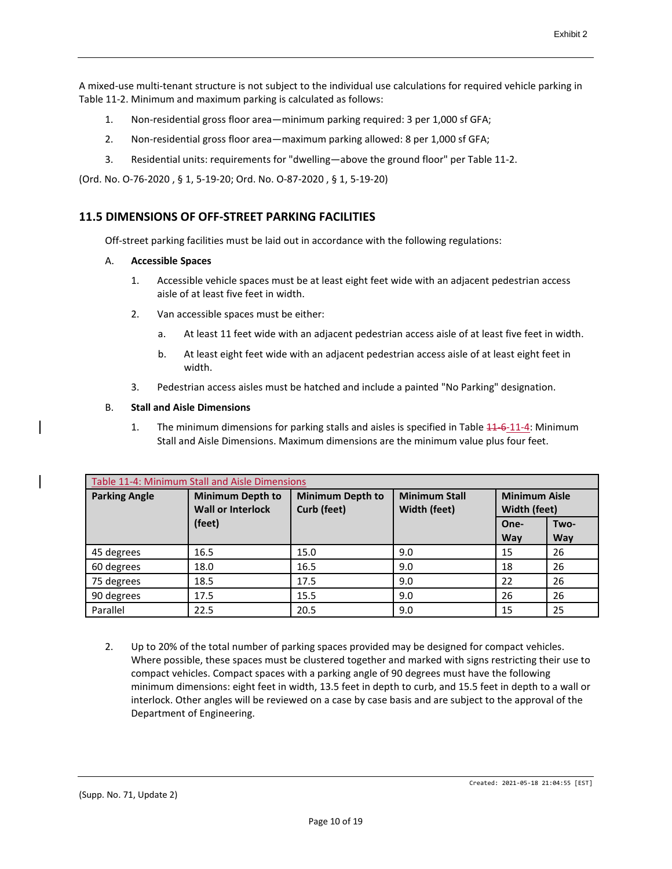A mixed-use multi-tenant structure is not subject to the individual use calculations for required vehicle parking in Table 11-2. Minimum and maximum parking is calculated as follows:

- 1. Non-residential gross floor area—minimum parking required: 3 per 1,000 sf GFA;
- 2. Non-residential gross floor area—maximum parking allowed: 8 per 1,000 sf GFA;
- 3. Residential units: requirements for "dwelling—above the ground floor" per Table 11-2.

(Ord. No. O-76-2020 , § 1, 5-19-20; Ord. No. O-87-2020 , § 1, 5-19-20)

## **11.5 DIMENSIONS OF OFF-STREET PARKING FACILITIES**

Off-street parking facilities must be laid out in accordance with the following regulations:

#### A. **Accessible Spaces**

- 1. Accessible vehicle spaces must be at least eight feet wide with an adjacent pedestrian access aisle of at least five feet in width.
- 2. Van accessible spaces must be either:
	- a. At least 11 feet wide with an adjacent pedestrian access aisle of at least five feet in width.
	- b. At least eight feet wide with an adjacent pedestrian access aisle of at least eight feet in width.
- 3. Pedestrian access aisles must be hatched and include a painted "No Parking" designation.

#### B. **Stall and Aisle Dimensions**

1. The minimum dimensions for parking stalls and aisles is specified in Table  $41-6-11-4$ : Minimum Stall and Aisle Dimensions. Maximum dimensions are the minimum value plus four feet.

| Table 11-4: Minimum Stall and Aisle Dimensions |                                                     |                                        |                                      |                                      |                    |
|------------------------------------------------|-----------------------------------------------------|----------------------------------------|--------------------------------------|--------------------------------------|--------------------|
| <b>Parking Angle</b>                           | <b>Minimum Depth to</b><br><b>Wall or Interlock</b> | <b>Minimum Depth to</b><br>Curb (feet) | <b>Minimum Stall</b><br>Width (feet) | <b>Minimum Aisle</b><br>Width (feet) |                    |
|                                                | (feet)                                              |                                        |                                      | One-<br><b>Way</b>                   | Two-<br><b>Way</b> |
| 45 degrees                                     | 16.5                                                | 15.0                                   | 9.0                                  | 15                                   | 26                 |
| 60 degrees                                     | 18.0                                                | 16.5                                   | 9.0                                  | 18                                   | 26                 |
| 75 degrees                                     | 18.5                                                | 17.5                                   | 9.0                                  | 22                                   | 26                 |
| 90 degrees                                     | 17.5                                                | 15.5                                   | 9.0                                  | 26                                   | 26                 |
| Parallel                                       | 22.5                                                | 20.5                                   | 9.0                                  | 15                                   | 25                 |

2. Up to 20% of the total number of parking spaces provided may be designed for compact vehicles. Where possible, these spaces must be clustered together and marked with signs restricting their use to compact vehicles. Compact spaces with a parking angle of 90 degrees must have the following minimum dimensions: eight feet in width, 13.5 feet in depth to curb, and 15.5 feet in depth to a wall or interlock. Other angles will be reviewed on a case by case basis and are subject to the approval of the Department of Engineering.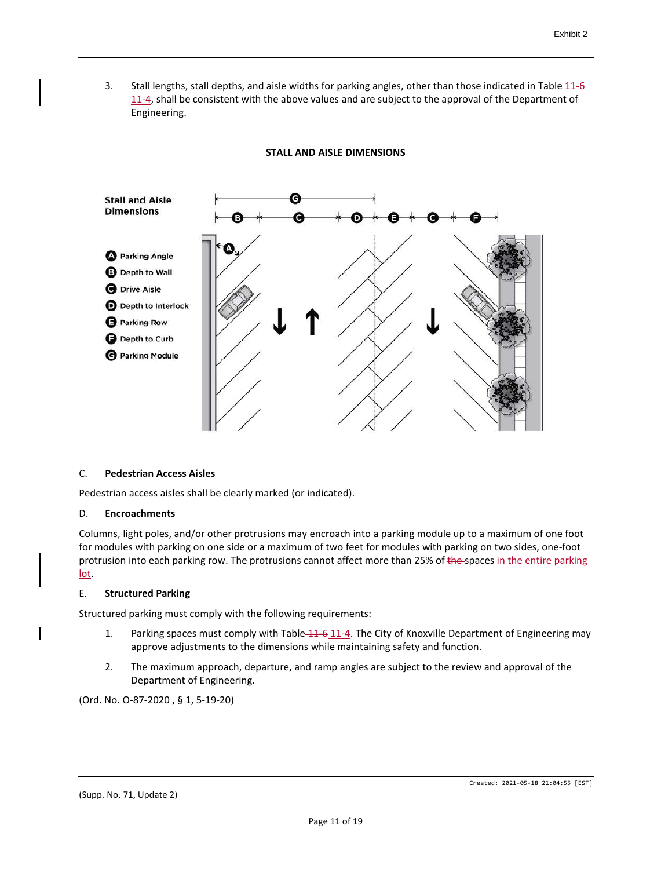3. Stall lengths, stall depths, and aisle widths for parking angles, other than those indicated in Table 44–6 11-4, shall be consistent with the above values and are subject to the approval of the Department of Engineering.

# **Stall and Aisle Dimensions O** Parking Angle **B** Depth to Wall **O** Drive Aisle D Depth to Interlock **B** Parking Row Depth to Curb **O** Parking Module

#### **STALL AND AISLE DIMENSIONS**

#### C. **Pedestrian Access Aisles**

Pedestrian access aisles shall be clearly marked (or indicated).

#### D. **Encroachments**

Columns, light poles, and/or other protrusions may encroach into a parking module up to a maximum of one foot for modules with parking on one side or a maximum of two feet for modules with parking on two sides, one-foot protrusion into each parking row. The protrusions cannot affect more than 25% of the spaces in the entire parking lot.

#### E. **Structured Parking**

Structured parking must comply with the following requirements:

- 1. Parking spaces must comply with Table 11-6 11-4. The City of Knoxville Department of Engineering may approve adjustments to the dimensions while maintaining safety and function.
- 2. The maximum approach, departure, and ramp angles are subject to the review and approval of the Department of Engineering.

(Ord. No. O-87-2020 , § 1, 5-19-20)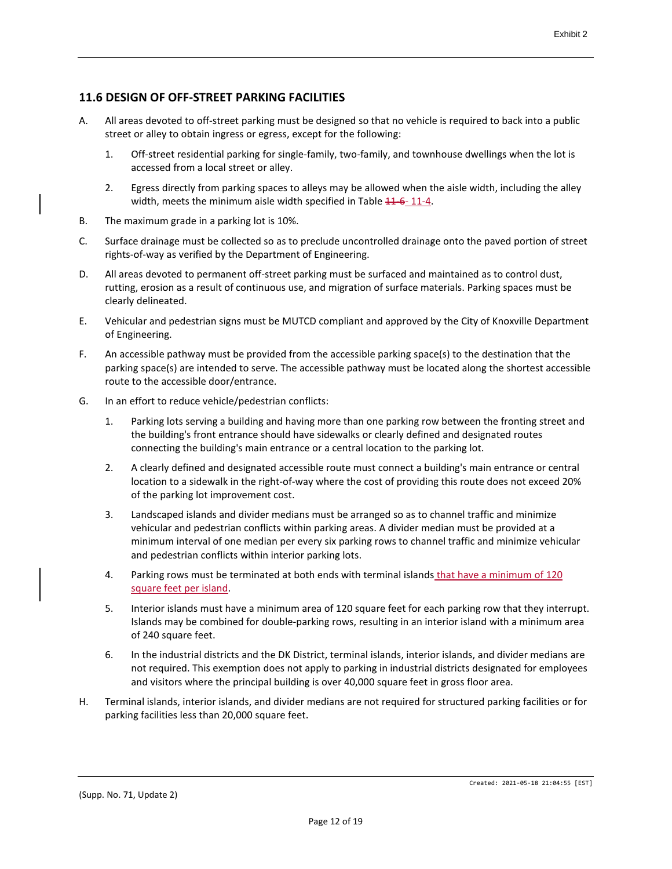# **11.6 DESIGN OF OFF-STREET PARKING FACILITIES**

- A. All areas devoted to off-street parking must be designed so that no vehicle is required to back into a public street or alley to obtain ingress or egress, except for the following:
	- 1. Off-street residential parking for single-family, two-family, and townhouse dwellings when the lot is accessed from a local street or alley.
	- 2. Egress directly from parking spaces to alleys may be allowed when the aisle width, including the alley width, meets the minimum aisle width specified in Table 11-6-11-4.
- B. The maximum grade in a parking lot is 10%.
- C. Surface drainage must be collected so as to preclude uncontrolled drainage onto the paved portion of street rights-of-way as verified by the Department of Engineering.
- D. All areas devoted to permanent off-street parking must be surfaced and maintained as to control dust, rutting, erosion as a result of continuous use, and migration of surface materials. Parking spaces must be clearly delineated.
- E. Vehicular and pedestrian signs must be MUTCD compliant and approved by the City of Knoxville Department of Engineering.
- F. An accessible pathway must be provided from the accessible parking space(s) to the destination that the parking space(s) are intended to serve. The accessible pathway must be located along the shortest accessible route to the accessible door/entrance.
- G. In an effort to reduce vehicle/pedestrian conflicts:
	- 1. Parking lots serving a building and having more than one parking row between the fronting street and the building's front entrance should have sidewalks or clearly defined and designated routes connecting the building's main entrance or a central location to the parking lot.
	- 2. A clearly defined and designated accessible route must connect a building's main entrance or central location to a sidewalk in the right-of-way where the cost of providing this route does not exceed 20% of the parking lot improvement cost.
	- 3. Landscaped islands and divider medians must be arranged so as to channel traffic and minimize vehicular and pedestrian conflicts within parking areas. A divider median must be provided at a minimum interval of one median per every six parking rows to channel traffic and minimize vehicular and pedestrian conflicts within interior parking lots.
	- 4. Parking rows must be terminated at both ends with terminal islands that have a minimum of 120 square feet per island.
	- 5. Interior islands must have a minimum area of 120 square feet for each parking row that they interrupt. Islands may be combined for double-parking rows, resulting in an interior island with a minimum area of 240 square feet.
	- 6. In the industrial districts and the DK District, terminal islands, interior islands, and divider medians are not required. This exemption does not apply to parking in industrial districts designated for employees and visitors where the principal building is over 40,000 square feet in gross floor area.
- H. Terminal islands, interior islands, and divider medians are not required for structured parking facilities or for parking facilities less than 20,000 square feet.

Created: 2021-05-18 21:04:55 [EST]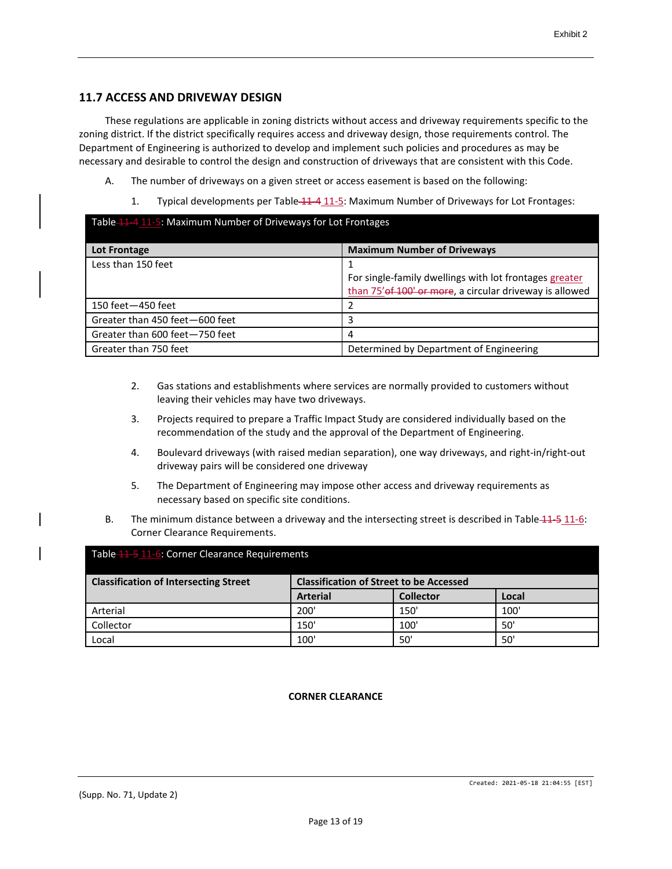# **11.7 ACCESS AND DRIVEWAY DESIGN**

These regulations are applicable in zoning districts without access and driveway requirements specific to the zoning district. If the district specifically requires access and driveway design, those requirements control. The Department of Engineering is authorized to develop and implement such policies and procedures as may be necessary and desirable to control the design and construction of driveways that are consistent with this Code.

- A. The number of driveways on a given street or access easement is based on the following:
	- 1. Typical developments per Table 11-4 11-5: Maximum Number of Driveways for Lot Frontages:

| Table 11-4 11-5: Maximum Number of Driveways for Lot Frontages |                                                                                                                    |  |  |  |
|----------------------------------------------------------------|--------------------------------------------------------------------------------------------------------------------|--|--|--|
| Lot Frontage                                                   | <b>Maximum Number of Driveways</b>                                                                                 |  |  |  |
| Less than 150 feet                                             | For single-family dwellings with lot frontages greater<br>than 75' of 100' or more, a circular driveway is allowed |  |  |  |
| 150 feet-450 feet                                              |                                                                                                                    |  |  |  |
| Greater than 450 feet-600 feet                                 |                                                                                                                    |  |  |  |
| Greater than 600 feet-750 feet                                 | 4                                                                                                                  |  |  |  |
| Greater than 750 feet                                          | Determined by Department of Engineering                                                                            |  |  |  |

- 2. Gas stations and establishments where services are normally provided to customers without leaving their vehicles may have two driveways.
- 3. Projects required to prepare a Traffic Impact Study are considered individually based on the recommendation of the study and the approval of the Department of Engineering.
- 4. Boulevard driveways (with raised median separation), one way driveways, and right-in/right-out driveway pairs will be considered one driveway
- 5. The Department of Engineering may impose other access and driveway requirements as necessary based on specific site conditions.
- B. The minimum distance between a driveway and the intersecting street is described in Table 11-5 11-6: Corner Clearance Requirements.

| Table 11-5 11-6: Corner Clearance Requirements                                                 |                 |                  |       |  |
|------------------------------------------------------------------------------------------------|-----------------|------------------|-------|--|
| <b>Classification of Street to be Accessed</b><br><b>Classification of Intersecting Street</b> |                 |                  |       |  |
|                                                                                                | <b>Arterial</b> | <b>Collector</b> | Local |  |
| Arterial                                                                                       | 200'            | 150'             | 100   |  |
| Collector                                                                                      | 150'            | 100'             | 50'   |  |
| Local                                                                                          | 100'            | 50'              | 50'   |  |

#### **CORNER CLEARANCE**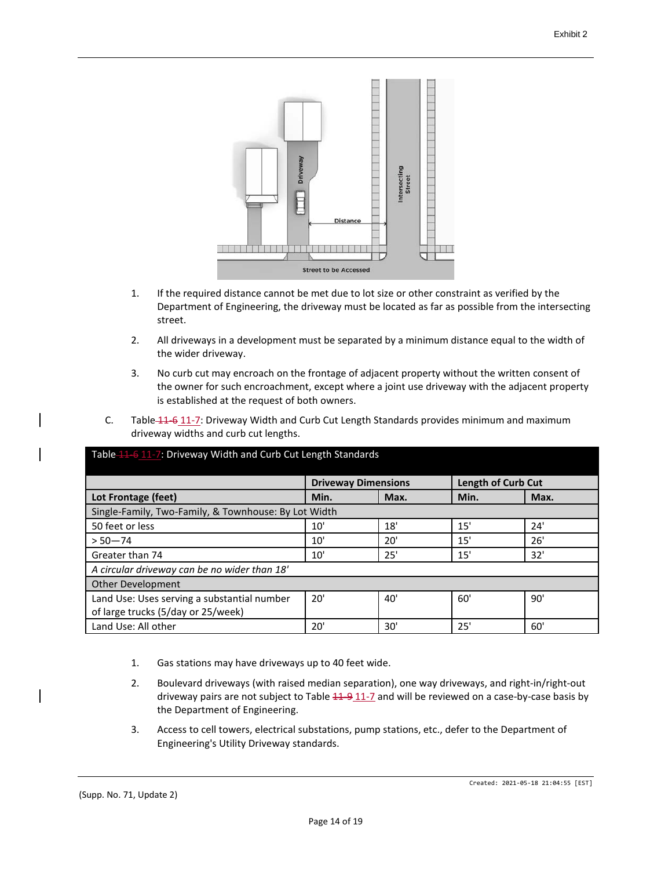

- 1. If the required distance cannot be met due to lot size or other constraint as verified by the Department of Engineering, the driveway must be located as far as possible from the intersecting street.
- 2. All driveways in a development must be separated by a minimum distance equal to the width of the wider driveway.
- 3. No curb cut may encroach on the frontage of adjacent property without the written consent of the owner for such encroachment, except where a joint use driveway with the adjacent property is established at the request of both owners.
- C. Table 11-6 11-7: Driveway Width and Curb Cut Length Standards provides minimum and maximum driveway widths and curb cut lengths.

| Table 11 6 11 - 7: Driveway Width and Curb Cut Length Standards |                            |              |                           |      |  |
|-----------------------------------------------------------------|----------------------------|--------------|---------------------------|------|--|
|                                                                 | <b>Driveway Dimensions</b> |              | <b>Length of Curb Cut</b> |      |  |
| Lot Frontage (feet)                                             | Min.                       | Max.         | Min.                      | Max. |  |
| Single-Family, Two-Family, & Townhouse: By Lot Width            |                            |              |                           |      |  |
| 50 feet or less                                                 | 10'                        | 18'          | 15'                       | 24'  |  |
| $> 50 - 74$                                                     | 10'                        | 20'          | 15'                       | 26'  |  |
| Greater than 74                                                 | 10'                        | 25'          | 15'                       | 32'  |  |
| A circular driveway can be no wider than 18'                    |                            |              |                           |      |  |
| <b>Other Development</b>                                        |                            |              |                           |      |  |
| Land Use: Uses serving a substantial number                     | 20'                        | $40^{\circ}$ | 60'                       | 90'  |  |
| of large trucks (5/day or 25/week)                              |                            |              |                           |      |  |
| Land Use: All other                                             | 20'                        | 30'          | 25'                       | 60'  |  |

- 1. Gas stations may have driveways up to 40 feet wide.
- 2. Boulevard driveways (with raised median separation), one way driveways, and right-in/right-out driveway pairs are not subject to Table  $44-9$   $11-7$  and will be reviewed on a case-by-case basis by the Department of Engineering.
- 3. Access to cell towers, electrical substations, pump stations, etc., defer to the Department of Engineering's Utility Driveway standards.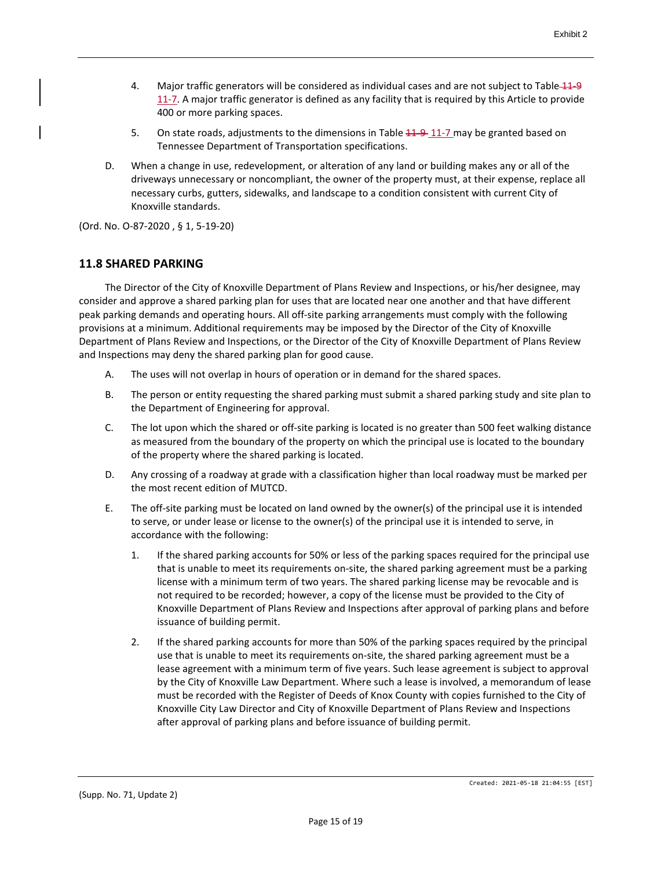- 4. Major traffic generators will be considered as individual cases and are not subject to Table 11-9 11-7. A major traffic generator is defined as any facility that is required by this Article to provide 400 or more parking spaces.
- 5. On state roads, adjustments to the dimensions in Table  $11-9$   $11-7$  may be granted based on Tennessee Department of Transportation specifications.
- D. When a change in use, redevelopment, or alteration of any land or building makes any or all of the driveways unnecessary or noncompliant, the owner of the property must, at their expense, replace all necessary curbs, gutters, sidewalks, and landscape to a condition consistent with current City of Knoxville standards.

(Ord. No. O-87-2020 , § 1, 5-19-20)

#### **11.8 SHARED PARKING**

The Director of the City of Knoxville Department of Plans Review and Inspections, or his/her designee, may consider and approve a shared parking plan for uses that are located near one another and that have different peak parking demands and operating hours. All off-site parking arrangements must comply with the following provisions at a minimum. Additional requirements may be imposed by the Director of the City of Knoxville Department of Plans Review and Inspections, or the Director of the City of Knoxville Department of Plans Review and Inspections may deny the shared parking plan for good cause.

- A. The uses will not overlap in hours of operation or in demand for the shared spaces.
- B. The person or entity requesting the shared parking must submit a shared parking study and site plan to the Department of Engineering for approval.
- C. The lot upon which the shared or off-site parking is located is no greater than 500 feet walking distance as measured from the boundary of the property on which the principal use is located to the boundary of the property where the shared parking is located.
- D. Any crossing of a roadway at grade with a classification higher than local roadway must be marked per the most recent edition of MUTCD.
- E. The off-site parking must be located on land owned by the owner(s) of the principal use it is intended to serve, or under lease or license to the owner(s) of the principal use it is intended to serve, in accordance with the following:
	- 1. If the shared parking accounts for 50% or less of the parking spaces required for the principal use that is unable to meet its requirements on-site, the shared parking agreement must be a parking license with a minimum term of two years. The shared parking license may be revocable and is not required to be recorded; however, a copy of the license must be provided to the City of Knoxville Department of Plans Review and Inspections after approval of parking plans and before issuance of building permit.
	- 2. If the shared parking accounts for more than 50% of the parking spaces required by the principal use that is unable to meet its requirements on-site, the shared parking agreement must be a lease agreement with a minimum term of five years. Such lease agreement is subject to approval by the City of Knoxville Law Department. Where such a lease is involved, a memorandum of lease must be recorded with the Register of Deeds of Knox County with copies furnished to the City of Knoxville City Law Director and City of Knoxville Department of Plans Review and Inspections after approval of parking plans and before issuance of building permit.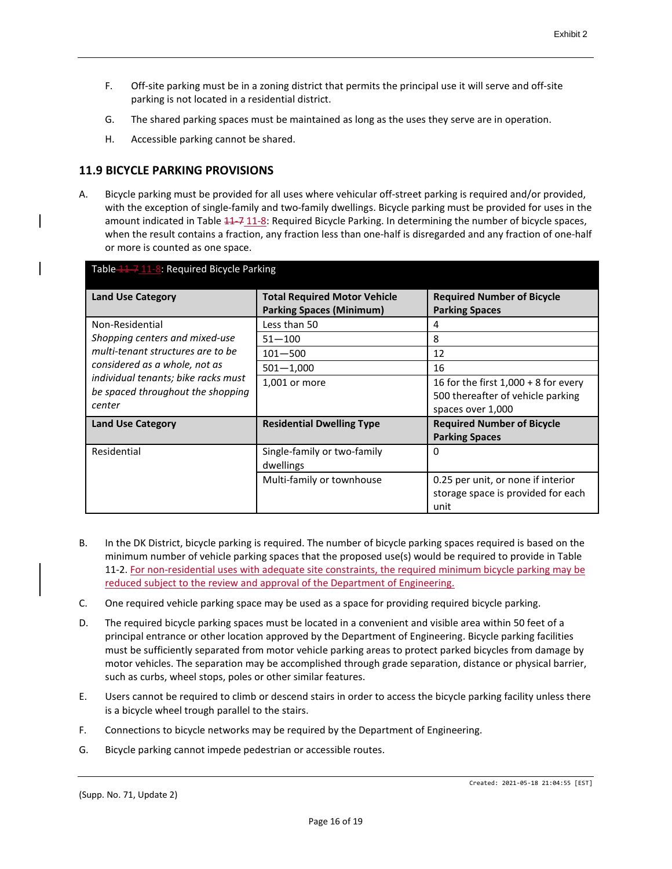- F. Off-site parking must be in a zoning district that permits the principal use it will serve and off-site parking is not located in a residential district.
- G. The shared parking spaces must be maintained as long as the uses they serve are in operation.
- H. Accessible parking cannot be shared.

# **11.9 BICYCLE PARKING PROVISIONS**

A. Bicycle parking must be provided for all uses where vehicular off-street parking is required and/or provided, with the exception of single-family and two-family dwellings. Bicycle parking must be provided for uses in the amount indicated in Table  $\frac{41}{7}$  11-8: Required Bicycle Parking. In determining the number of bicycle spaces, when the result contains a fraction, any fraction less than one-half is disregarded and any fraction of one-half or more is counted as one space.

| Table 11 - 7 11 - 8: Required Bicycle Parking                                      |                                                                        |                                                                                                  |  |  |
|------------------------------------------------------------------------------------|------------------------------------------------------------------------|--------------------------------------------------------------------------------------------------|--|--|
| <b>Land Use Category</b>                                                           | <b>Total Required Motor Vehicle</b><br><b>Parking Spaces (Minimum)</b> | <b>Required Number of Bicycle</b><br><b>Parking Spaces</b>                                       |  |  |
| Non-Residential                                                                    | Less than 50                                                           | 4                                                                                                |  |  |
| Shopping centers and mixed-use                                                     | $51 - 100$                                                             | 8                                                                                                |  |  |
| multi-tenant structures are to be                                                  | $101 - 500$                                                            | 12                                                                                               |  |  |
| considered as a whole, not as                                                      | $501 - 1,000$                                                          | 16                                                                                               |  |  |
| individual tenants; bike racks must<br>be spaced throughout the shopping<br>center | 1,001 or more                                                          | 16 for the first $1,000 + 8$ for every<br>500 thereafter of vehicle parking<br>spaces over 1,000 |  |  |
| <b>Land Use Category</b>                                                           | <b>Residential Dwelling Type</b>                                       | <b>Required Number of Bicycle</b><br><b>Parking Spaces</b>                                       |  |  |
| Residential                                                                        | Single-family or two-family<br>dwellings                               | 0                                                                                                |  |  |
|                                                                                    | Multi-family or townhouse                                              | 0.25 per unit, or none if interior<br>storage space is provided for each<br>unit                 |  |  |

- B. In the DK District, bicycle parking is required. The number of bicycle parking spaces required is based on the minimum number of vehicle parking spaces that the proposed use(s) would be required to provide in Table 11-2. For non-residential uses with adequate site constraints, the required minimum bicycle parking may be reduced subject to the review and approval of the Department of Engineering.
- C. One required vehicle parking space may be used as a space for providing required bicycle parking.
- D. The required bicycle parking spaces must be located in a convenient and visible area within 50 feet of a principal entrance or other location approved by the Department of Engineering. Bicycle parking facilities must be sufficiently separated from motor vehicle parking areas to protect parked bicycles from damage by motor vehicles. The separation may be accomplished through grade separation, distance or physical barrier, such as curbs, wheel stops, poles or other similar features.
- E. Users cannot be required to climb or descend stairs in order to access the bicycle parking facility unless there is a bicycle wheel trough parallel to the stairs.
- F. Connections to bicycle networks may be required by the Department of Engineering.
- G. Bicycle parking cannot impede pedestrian or accessible routes.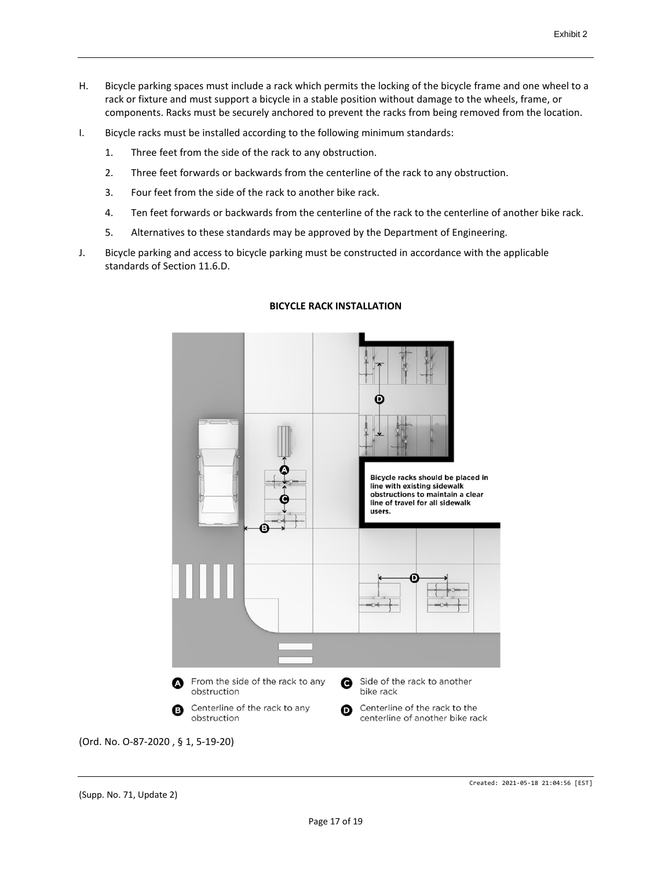- H. Bicycle parking spaces must include a rack which permits the locking of the bicycle frame and one wheel to a rack or fixture and must support a bicycle in a stable position without damage to the wheels, frame, or components. Racks must be securely anchored to prevent the racks from being removed from the location.
- I. Bicycle racks must be installed according to the following minimum standards:
	- 1. Three feet from the side of the rack to any obstruction.
	- 2. Three feet forwards or backwards from the centerline of the rack to any obstruction.
	- 3. Four feet from the side of the rack to another bike rack.
	- 4. Ten feet forwards or backwards from the centerline of the rack to the centerline of another bike rack.
	- 5. Alternatives to these standards may be approved by the Department of Engineering.
- J. Bicycle parking and access to bicycle parking must be constructed in accordance with the applicable standards of Section 11.6.D.



#### **BICYCLE RACK INSTALLATION**

(Ord. No. O-87-2020 , § 1, 5-19-20)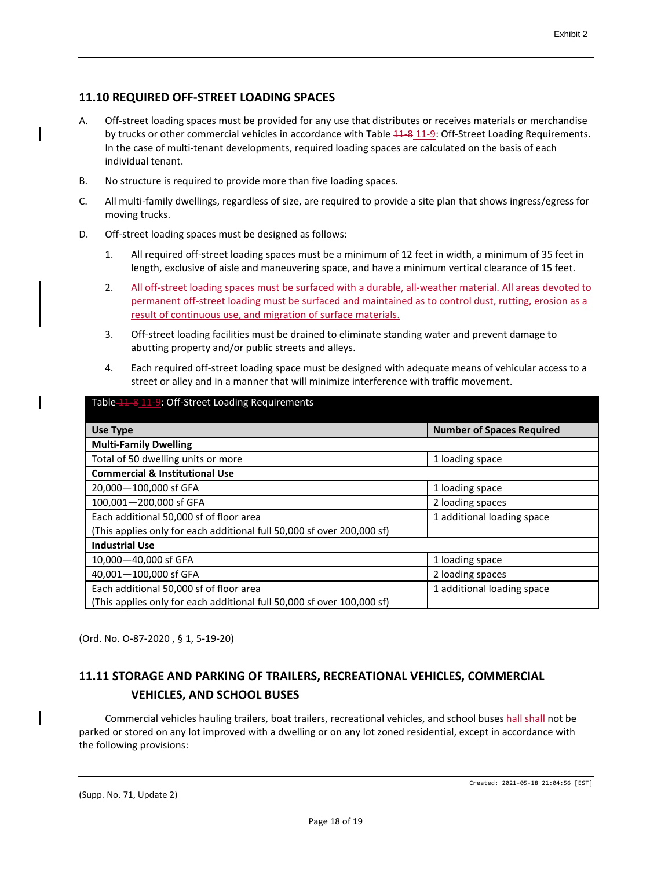# **11.10 REQUIRED OFF-STREET LOADING SPACES**

- A. Off-street loading spaces must be provided for any use that distributes or receives materials or merchandise by trucks or other commercial vehicles in accordance with Table  $41-8$  11-9: Off-Street Loading Requirements. In the case of multi-tenant developments, required loading spaces are calculated on the basis of each individual tenant.
- B. No structure is required to provide more than five loading spaces.
- C. All multi-family dwellings, regardless of size, are required to provide a site plan that shows ingress/egress for moving trucks.
- D. Off-street loading spaces must be designed as follows:
	- 1. All required off-street loading spaces must be a minimum of 12 feet in width, a minimum of 35 feet in length, exclusive of aisle and maneuvering space, and have a minimum vertical clearance of 15 feet.
	- 2. All off-street loading spaces must be surfaced with a durable, all-weather material. All areas devoted to permanent off-street loading must be surfaced and maintained as to control dust, rutting, erosion as a result of continuous use, and migration of surface materials.
	- 3. Off-street loading facilities must be drained to eliminate standing water and prevent damage to abutting property and/or public streets and alleys.
	- 4. Each required off-street loading space must be designed with adequate means of vehicular access to a street or alley and in a manner that will minimize interference with traffic movement.

| Table 11 - 8 11 - 9: Off-Street Loading Requirements                   |                                  |  |  |
|------------------------------------------------------------------------|----------------------------------|--|--|
| <b>Use Type</b>                                                        | <b>Number of Spaces Required</b> |  |  |
| <b>Multi-Family Dwelling</b>                                           |                                  |  |  |
| Total of 50 dwelling units or more                                     | 1 loading space                  |  |  |
| <b>Commercial &amp; Institutional Use</b>                              |                                  |  |  |
| 20,000-100,000 sf GFA                                                  | 1 loading space                  |  |  |
| 100,001-200,000 sf GFA                                                 | 2 loading spaces                 |  |  |
| Each additional 50,000 sf of floor area                                | 1 additional loading space       |  |  |
| (This applies only for each additional full 50,000 sf over 200,000 sf) |                                  |  |  |
| <b>Industrial Use</b>                                                  |                                  |  |  |
| 10,000-40,000 sf GFA                                                   | 1 loading space                  |  |  |
| 40,001-100,000 sf GFA                                                  | 2 loading spaces                 |  |  |
| Each additional 50,000 sf of floor area                                | 1 additional loading space       |  |  |
| (This applies only for each additional full 50,000 sf over 100,000 sf) |                                  |  |  |

(Ord. No. O-87-2020 , § 1, 5-19-20)

# **11.11 STORAGE AND PARKING OF TRAILERS, RECREATIONAL VEHICLES, COMMERCIAL VEHICLES, AND SCHOOL BUSES**

Commercial vehicles hauling trailers, boat trailers, recreational vehicles, and school buses hall-shall not be parked or stored on any lot improved with a dwelling or on any lot zoned residential, except in accordance with the following provisions: